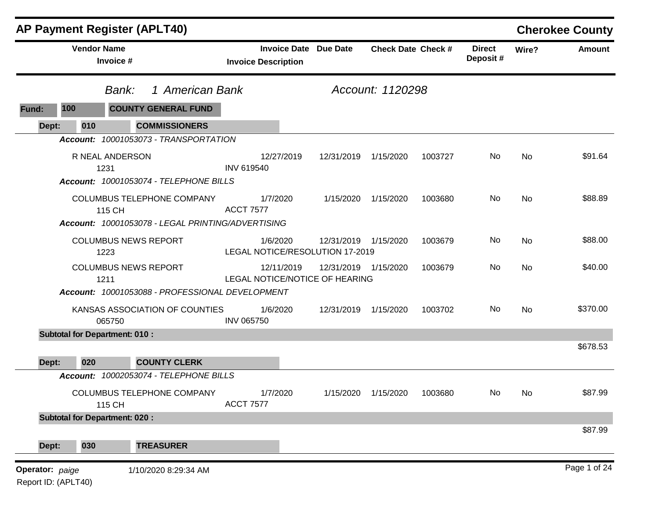|       |                    | <b>AP Payment Register (APLT40)</b>  |                                                                                 |                            |            |                                                         |                           |         |                           |       | <b>Cherokee County</b> |
|-------|--------------------|--------------------------------------|---------------------------------------------------------------------------------|----------------------------|------------|---------------------------------------------------------|---------------------------|---------|---------------------------|-------|------------------------|
|       | <b>Vendor Name</b> | Invoice #                            |                                                                                 | <b>Invoice Description</b> |            | <b>Invoice Date Due Date</b>                            | <b>Check Date Check #</b> |         | <b>Direct</b><br>Deposit# | Wire? | <b>Amount</b>          |
|       |                    | Bank:                                | 1 American Bank                                                                 |                            |            |                                                         | Account: 1120298          |         |                           |       |                        |
| Fund: | 100                |                                      | <b>COUNTY GENERAL FUND</b>                                                      |                            |            |                                                         |                           |         |                           |       |                        |
| Dept: | 010                |                                      | <b>COMMISSIONERS</b>                                                            |                            |            |                                                         |                           |         |                           |       |                        |
|       |                    |                                      | Account: 10001053073 - TRANSPORTATION                                           |                            |            |                                                         |                           |         |                           |       |                        |
|       |                    | R NEAL ANDERSON<br>1231              |                                                                                 | <b>INV 619540</b>          | 12/27/2019 | 12/31/2019                                              | 1/15/2020                 | 1003727 | No                        | No    | \$91.64                |
|       |                    |                                      | Account: 10001053074 - TELEPHONE BILLS                                          |                            |            |                                                         |                           |         |                           |       |                        |
|       |                    | 115 CH                               | COLUMBUS TELEPHONE COMPANY<br>Account: 10001053078 - LEGAL PRINTING/ADVERTISING | <b>ACCT 7577</b>           | 1/7/2020   | 1/15/2020                                               | 1/15/2020                 | 1003680 | No                        | No    | \$88.89                |
|       |                    |                                      |                                                                                 |                            |            |                                                         |                           |         |                           |       |                        |
|       |                    | <b>COLUMBUS NEWS REPORT</b><br>1223  |                                                                                 |                            | 1/6/2020   | 12/31/2019 1/15/2020<br>LEGAL NOTICE/RESOLUTION 17-2019 |                           | 1003679 | No.                       | No    | \$88.00                |
|       |                    | <b>COLUMBUS NEWS REPORT</b><br>1211  |                                                                                 |                            | 12/11/2019 | 12/31/2019 1/15/2020<br>LEGAL NOTICE/NOTICE OF HEARING  |                           | 1003679 | No                        | No    | \$40.00                |
|       |                    |                                      | Account: 10001053088 - PROFESSIONAL DEVELOPMENT                                 |                            |            |                                                         |                           |         |                           |       |                        |
|       |                    | 065750                               | KANSAS ASSOCIATION OF COUNTIES                                                  | <b>INV 065750</b>          | 1/6/2020   | 12/31/2019 1/15/2020                                    |                           | 1003702 | No.                       | No    | \$370.00               |
|       |                    | <b>Subtotal for Department: 010:</b> |                                                                                 |                            |            |                                                         |                           |         |                           |       |                        |
|       |                    |                                      |                                                                                 |                            |            |                                                         |                           |         |                           |       | \$678.53               |
| Dept: | 020                |                                      | <b>COUNTY CLERK</b><br>Account: 10002053074 - TELEPHONE BILLS                   |                            |            |                                                         |                           |         |                           |       |                        |
|       |                    |                                      |                                                                                 |                            |            |                                                         |                           |         |                           |       |                        |
|       |                    | 115 CH                               | COLUMBUS TELEPHONE COMPANY                                                      | <b>ACCT 7577</b>           | 1/7/2020   | 1/15/2020                                               | 1/15/2020                 | 1003680 | No                        | No.   | \$87.99                |
|       |                    | <b>Subtotal for Department: 020:</b> |                                                                                 |                            |            |                                                         |                           |         |                           |       |                        |
|       |                    |                                      |                                                                                 |                            |            |                                                         |                           |         |                           |       | \$87.99                |
|       |                    |                                      |                                                                                 |                            |            |                                                         |                           |         |                           |       |                        |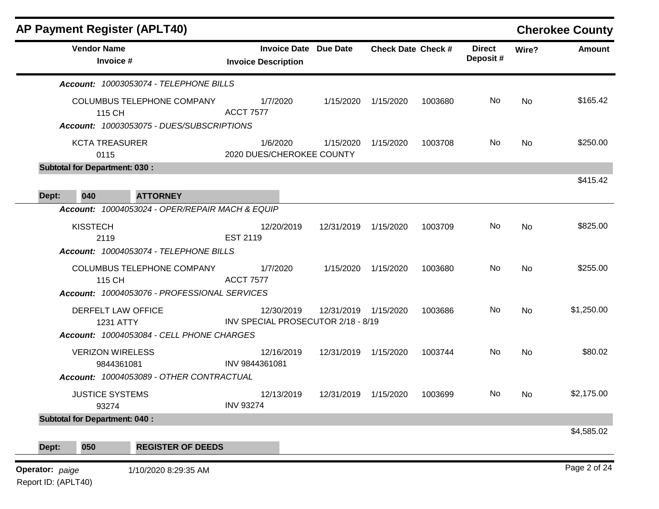|       | <b>Vendor Name</b><br>Invoice #                                                      | <b>Invoice Date Due Date</b><br><b>Invoice Description</b> |                      | <b>Check Date Check #</b> |         | <b>Direct</b><br>Deposit# | Wire?     | <b>Amount</b> |
|-------|--------------------------------------------------------------------------------------|------------------------------------------------------------|----------------------|---------------------------|---------|---------------------------|-----------|---------------|
|       | Account: 10003053074 - TELEPHONE BILLS                                               |                                                            |                      |                           |         |                           |           |               |
|       | COLUMBUS TELEPHONE COMPANY<br>115 CH                                                 | 1/7/2020<br><b>ACCT 7577</b>                               | 1/15/2020            | 1/15/2020                 | 1003680 | No                        | <b>No</b> | \$165.42      |
|       | Account: 10003053075 - DUES/SUBSCRIPTIONS<br><b>KCTA TREASURER</b><br>0115           | 1/6/2020<br>2020 DUES/CHEROKEE COUNTY                      | 1/15/2020            | 1/15/2020                 | 1003708 | No.                       | No        | \$250.00      |
|       | <b>Subtotal for Department: 030:</b>                                                 |                                                            |                      |                           |         |                           |           |               |
| Dept: | <b>ATTORNEY</b><br>040                                                               |                                                            |                      |                           |         |                           |           | \$415.42      |
|       | Account: 10004053024 - OPER/REPAIR MACH & EQUIP                                      |                                                            |                      |                           |         |                           |           |               |
|       | <b>KISSTECH</b><br>2119                                                              | 12/20/2019<br>EST 2119                                     | 12/31/2019 1/15/2020 |                           | 1003709 | No                        | No        | \$825.00      |
|       | Account: 10004053074 - TELEPHONE BILLS                                               |                                                            |                      |                           |         |                           |           |               |
|       | COLUMBUS TELEPHONE COMPANY<br>115 CH<br>Account: 10004053076 - PROFESSIONAL SERVICES | 1/7/2020<br><b>ACCT 7577</b>                               | 1/15/2020            | 1/15/2020                 | 1003680 | No                        | No        | \$255.00      |
|       | DERFELT LAW OFFICE<br><b>1231 ATTY</b>                                               | 12/30/2019<br>INV SPECIAL PROSECUTOR 2/18 - 8/19           | 12/31/2019 1/15/2020 |                           | 1003686 | No.                       | <b>No</b> | \$1,250.00    |
|       | Account: 10004053084 - CELL PHONE CHARGES                                            |                                                            |                      |                           |         |                           |           |               |
|       | <b>VERIZON WIRELESS</b><br>9844361081                                                | 12/16/2019<br>INV 9844361081                               | 12/31/2019 1/15/2020 |                           | 1003744 | No                        | <b>No</b> | \$80.02       |
|       | Account: 10004053089 - OTHER CONTRACTUAL                                             |                                                            |                      |                           |         |                           |           |               |
|       | <b>JUSTICE SYSTEMS</b><br>93274                                                      | 12/13/2019<br><b>INV 93274</b>                             | 12/31/2019           | 1/15/2020                 | 1003699 | No.                       | No.       | \$2,175.00    |
|       | <b>Subtotal for Department: 040:</b>                                                 |                                                            |                      |                           |         |                           |           |               |
| Dept: | 050<br><b>REGISTER OF DEEDS</b>                                                      |                                                            |                      |                           |         |                           |           | \$4,585.02    |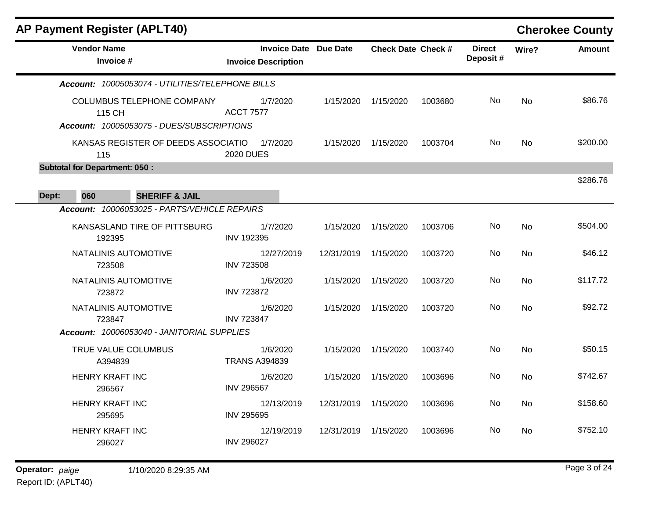|       | <b>AP Payment Register (APLT40)</b>  |                                                                         |                                  |                              |                           |         |                           |           | <b>Cherokee County</b> |
|-------|--------------------------------------|-------------------------------------------------------------------------|----------------------------------|------------------------------|---------------------------|---------|---------------------------|-----------|------------------------|
|       | <b>Vendor Name</b><br>Invoice #      |                                                                         | <b>Invoice Description</b>       | <b>Invoice Date Due Date</b> | <b>Check Date Check #</b> |         | <b>Direct</b><br>Deposit# | Wire?     | <b>Amount</b>          |
|       |                                      | Account: 10005053074 - UTILITIES/TELEPHONE BILLS                        |                                  |                              |                           |         |                           |           |                        |
|       | 115 CH                               | COLUMBUS TELEPHONE COMPANY<br>Account: 10005053075 - DUES/SUBSCRIPTIONS | 1/7/2020<br><b>ACCT 7577</b>     | 1/15/2020                    | 1/15/2020                 | 1003680 | No                        | <b>No</b> | \$86.76                |
|       | 115                                  | KANSAS REGISTER OF DEEDS ASSOCIATIO                                     | 1/7/2020<br><b>2020 DUES</b>     | 1/15/2020                    | 1/15/2020                 | 1003704 | No.                       | <b>No</b> | \$200.00               |
|       | <b>Subtotal for Department: 050:</b> |                                                                         |                                  |                              |                           |         |                           |           |                        |
| Dept: | 060                                  | <b>SHERIFF &amp; JAIL</b>                                               |                                  |                              |                           |         |                           |           | \$286.76               |
|       |                                      | Account: 10006053025 - PARTS/VEHICLE REPAIRS                            |                                  |                              |                           |         |                           |           |                        |
|       | 192395                               | KANSASLAND TIRE OF PITTSBURG                                            | 1/7/2020<br><b>INV 192395</b>    | 1/15/2020                    | 1/15/2020                 | 1003706 | No.                       | No        | \$504.00               |
|       | NATALINIS AUTOMOTIVE<br>723508       |                                                                         | 12/27/2019<br><b>INV 723508</b>  | 12/31/2019                   | 1/15/2020                 | 1003720 | No.                       | No        | \$46.12                |
|       | NATALINIS AUTOMOTIVE<br>723872       |                                                                         | 1/6/2020<br><b>INV 723872</b>    | 1/15/2020                    | 1/15/2020                 | 1003720 | No                        | <b>No</b> | \$117.72               |
|       | NATALINIS AUTOMOTIVE<br>723847       |                                                                         | 1/6/2020<br><b>INV 723847</b>    | 1/15/2020                    | 1/15/2020                 | 1003720 | No                        | No        | \$92.72                |
|       |                                      | Account: 10006053040 - JANITORIAL SUPPLIES                              |                                  |                              |                           |         |                           |           |                        |
|       | TRUE VALUE COLUMBUS<br>A394839       |                                                                         | 1/6/2020<br><b>TRANS A394839</b> | 1/15/2020                    | 1/15/2020                 | 1003740 | No                        | <b>No</b> | \$50.15                |
|       | <b>HENRY KRAFT INC</b><br>296567     |                                                                         | 1/6/2020<br><b>INV 296567</b>    | 1/15/2020                    | 1/15/2020                 | 1003696 | No                        | No        | \$742.67               |
|       | <b>HENRY KRAFT INC</b><br>295695     |                                                                         | 12/13/2019<br><b>INV 295695</b>  | 12/31/2019                   | 1/15/2020                 | 1003696 | No.                       | No        | \$158.60               |
|       | <b>HENRY KRAFT INC</b><br>296027     |                                                                         | 12/19/2019<br><b>INV 296027</b>  | 12/31/2019                   | 1/15/2020                 | 1003696 | No                        | <b>No</b> | \$752.10               |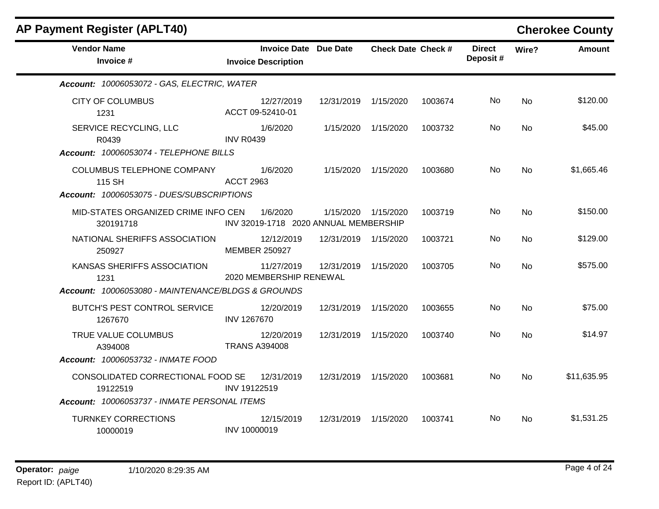| <b>Vendor Name</b>                                       | Invoice Date Due Date                             |                      | <b>Check Date Check #</b> |         | <b>Direct</b> | Wire?     | <b>Amount</b> |
|----------------------------------------------------------|---------------------------------------------------|----------------------|---------------------------|---------|---------------|-----------|---------------|
| Invoice #                                                | <b>Invoice Description</b>                        |                      |                           |         | Deposit#      |           |               |
| Account: 10006053072 - GAS, ELECTRIC, WATER              |                                                   |                      |                           |         |               |           |               |
| <b>CITY OF COLUMBUS</b><br>1231                          | 12/27/2019<br>ACCT 09-52410-01                    | 12/31/2019 1/15/2020 |                           | 1003674 | No.           | No        | \$120.00      |
| SERVICE RECYCLING, LLC<br>R0439                          | 1/6/2020<br><b>INV R0439</b>                      |                      | 1/15/2020 1/15/2020       | 1003732 | No.           | No.       | \$45.00       |
| Account: 10006053074 - TELEPHONE BILLS                   |                                                   |                      |                           |         |               |           |               |
| COLUMBUS TELEPHONE COMPANY 1/6/2020<br>115 SH            | ACCT 2963                                         |                      | 1/15/2020 1/15/2020       | 1003680 | No.           | No        | \$1,665.46    |
| Account: 10006053075 - DUES/SUBSCRIPTIONS                |                                                   |                      |                           |         |               |           |               |
| MID-STATES ORGANIZED CRIME INFO CEN<br>320191718         | 1/6/2020<br>INV 32019-1718 2020 ANNUAL MEMBERSHIP |                      | 1/15/2020 1/15/2020       | 1003719 | No.           | No.       | \$150.00      |
| NATIONAL SHERIFFS ASSOCIATION<br>250927                  | 12/12/2019<br><b>MEMBER 250927</b>                | 12/31/2019 1/15/2020 |                           | 1003721 | No.           | No        | \$129.00      |
| KANSAS SHERIFFS ASSOCIATION<br>1231                      | 11/27/2019<br>2020 MEMBERSHIP RENEWAL             | 12/31/2019 1/15/2020 |                           | 1003705 | No.           | No        | \$575.00      |
| Account: 10006053080 - MAINTENANCE/BLDGS & GROUNDS       |                                                   |                      |                           |         |               |           |               |
| BUTCH'S PEST CONTROL SERVICE 12/20/2019<br>1267670       | INV 1267670                                       | 12/31/2019 1/15/2020 |                           | 1003655 | No.           | <b>No</b> | \$75.00       |
| TRUE VALUE COLUMBUS<br>A394008                           | 12/20/2019<br><b>TRANS A394008</b>                | 12/31/2019 1/15/2020 |                           | 1003740 | No.           | No        | \$14.97       |
| Account: 10006053732 - INMATE FOOD                       |                                                   |                      |                           |         |               |           |               |
| CONSOLIDATED CORRECTIONAL FOOD SE 12/31/2019<br>19122519 | INV 19122519                                      | 12/31/2019 1/15/2020 |                           | 1003681 | No.           | No.       | \$11,635.95   |
| Account: 10006053737 - INMATE PERSONAL ITEMS             |                                                   |                      |                           |         |               |           |               |
| <b>TURNKEY CORRECTIONS</b><br>10000019                   | 12/15/2019<br>INV 10000019                        | 12/31/2019 1/15/2020 |                           | 1003741 | No.           | No.       | \$1,531.25    |

# **AP Payment Register (APLT40) Cherokee County**

 $\mathbf{r}$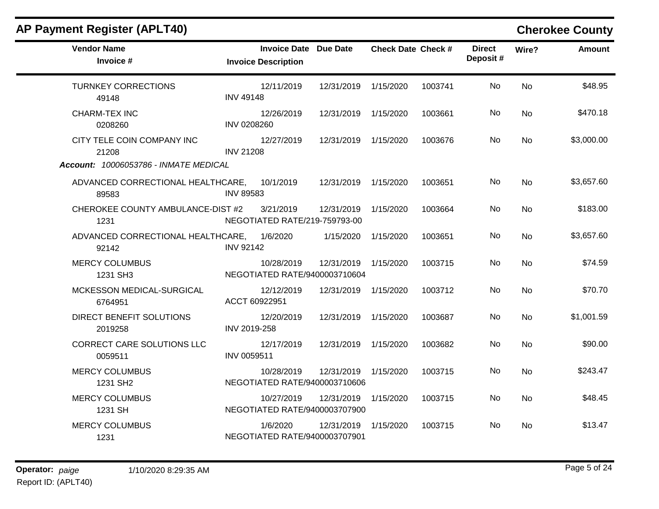| <b>AP Payment Register (APLT40)</b>                                                 |                                                            |                      |                           |         |                           |                | <b>Cherokee County</b> |
|-------------------------------------------------------------------------------------|------------------------------------------------------------|----------------------|---------------------------|---------|---------------------------|----------------|------------------------|
| <b>Vendor Name</b><br>Invoice #                                                     | <b>Invoice Date Due Date</b><br><b>Invoice Description</b> |                      | <b>Check Date Check #</b> |         | <b>Direct</b><br>Deposit# | Wire?          | <b>Amount</b>          |
| <b>TURNKEY CORRECTIONS</b><br>49148                                                 | 12/11/2019<br><b>INV 49148</b>                             | 12/31/2019 1/15/2020 |                           | 1003741 | No.                       | <b>No</b>      | \$48.95                |
| <b>CHARM-TEX INC</b><br>0208260                                                     | 12/26/2019<br>INV 0208260                                  | 12/31/2019           | 1/15/2020                 | 1003661 | No.                       | <b>No</b>      | \$470.18               |
| CITY TELE COIN COMPANY INC<br>21208                                                 | 12/27/2019<br><b>INV 21208</b>                             | 12/31/2019           | 1/15/2020                 | 1003676 | No                        | N <sub>o</sub> | \$3,000.00             |
| Account: 10006053786 - INMATE MEDICAL<br>ADVANCED CORRECTIONAL HEALTHCARE,<br>89583 | 10/1/2019<br><b>INV 89583</b>                              | 12/31/2019 1/15/2020 |                           | 1003651 | No                        | <b>No</b>      | \$3,657.60             |
| CHEROKEE COUNTY AMBULANCE-DIST #2<br>1231                                           | 3/21/2019<br>NEGOTIATED RATE/219-759793-00                 | 12/31/2019           | 1/15/2020                 | 1003664 | No                        | <b>No</b>      | \$183.00               |
| ADVANCED CORRECTIONAL HEALTHCARE,<br>92142                                          | 1/6/2020<br><b>INV 92142</b>                               | 1/15/2020            | 1/15/2020                 | 1003651 | No                        | N <sub>o</sub> | \$3,657.60             |
| <b>MERCY COLUMBUS</b><br>1231 SH3                                                   | 10/28/2019<br>NEGOTIATED RATE/9400003710604                | 12/31/2019           | 1/15/2020                 | 1003715 | No.                       | <b>No</b>      | \$74.59                |
| MCKESSON MEDICAL-SURGICAL<br>6764951                                                | 12/12/2019<br>ACCT 60922951                                | 12/31/2019 1/15/2020 |                           | 1003712 | No                        | No.            | \$70.70                |
| DIRECT BENEFIT SOLUTIONS<br>2019258                                                 | 12/20/2019<br>INV 2019-258                                 | 12/31/2019           | 1/15/2020                 | 1003687 | No                        | <b>No</b>      | \$1,001.59             |
| CORRECT CARE SOLUTIONS LLC<br>0059511                                               | 12/17/2019<br>INV 0059511                                  | 12/31/2019           | 1/15/2020                 | 1003682 | No.                       | No             | \$90.00                |
| <b>MERCY COLUMBUS</b><br>1231 SH2                                                   | 10/28/2019<br>NEGOTIATED RATE/9400003710606                | 12/31/2019           | 1/15/2020                 | 1003715 | No.                       | <b>No</b>      | \$243.47               |
| <b>MERCY COLUMBUS</b><br>1231 SH                                                    | 10/27/2019<br>NEGOTIATED RATE/9400003707900                | 12/31/2019           | 1/15/2020                 | 1003715 | No.                       | No             | \$48.45                |
| <b>MERCY COLUMBUS</b><br>1231                                                       | 1/6/2020<br>NEGOTIATED RATE/9400003707901                  | 12/31/2019           | 1/15/2020                 | 1003715 | No.                       | No             | \$13.47                |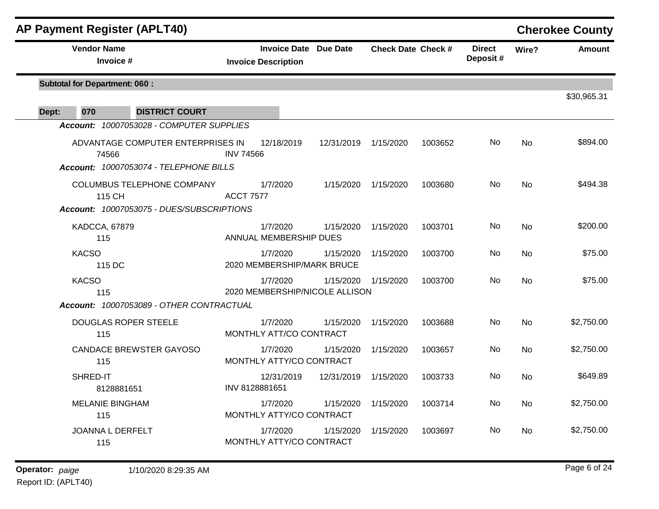| <b>AP Payment Register (APLT40)</b>        |                  |                                                            |                                             |                           |         |                           |           | <b>Cherokee County</b> |
|--------------------------------------------|------------------|------------------------------------------------------------|---------------------------------------------|---------------------------|---------|---------------------------|-----------|------------------------|
| <b>Vendor Name</b><br>Invoice #            |                  | <b>Invoice Date Due Date</b><br><b>Invoice Description</b> |                                             | <b>Check Date Check #</b> |         | <b>Direct</b><br>Deposit# | Wire?     | <b>Amount</b>          |
| <b>Subtotal for Department: 060:</b>       |                  |                                                            |                                             |                           |         |                           |           | \$30,965.31            |
| 070<br><b>DISTRICT COURT</b><br>Dept:      |                  |                                                            |                                             |                           |         |                           |           |                        |
| Account: 10007053028 - COMPUTER SUPPLIES   |                  |                                                            |                                             |                           |         |                           |           |                        |
| ADVANTAGE COMPUTER ENTERPRISES IN<br>74566 | <b>INV 74566</b> | 12/18/2019                                                 | 12/31/2019                                  | 1/15/2020                 | 1003652 | No                        | <b>No</b> | \$894.00               |
| Account: 10007053074 - TELEPHONE BILLS     |                  |                                                            |                                             |                           |         |                           |           |                        |
| COLUMBUS TELEPHONE COMPANY<br>115 CH       | <b>ACCT 7577</b> | 1/7/2020                                                   | 1/15/2020                                   | 1/15/2020                 | 1003680 | <b>No</b>                 | <b>No</b> | \$494.38               |
| Account: 10007053075 - DUES/SUBSCRIPTIONS  |                  |                                                            |                                             |                           |         |                           |           |                        |
| <b>KADCCA, 67879</b><br>115                |                  | 1/7/2020<br>ANNUAL MEMBERSHIP DUES                         | 1/15/2020                                   | 1/15/2020                 | 1003701 | No                        | No        | \$200.00               |
| <b>KACSO</b><br>115 DC                     |                  | 1/7/2020<br>2020 MEMBERSHIP/MARK BRUCE                     | 1/15/2020                                   | 1/15/2020                 | 1003700 | N <sub>o</sub>            | No        | \$75.00                |
| <b>KACSO</b><br>115                        |                  | 1/7/2020                                                   | 1/15/2020<br>2020 MEMBERSHIP/NICOLE ALLISON | 1/15/2020                 | 1003700 | <b>No</b>                 | No        | \$75.00                |
| Account: 10007053089 - OTHER CONTRACTUAL   |                  |                                                            |                                             |                           |         |                           |           |                        |
| <b>DOUGLAS ROPER STEELE</b><br>115         |                  | 1/7/2020<br>MONTHLY ATT/CO CONTRACT                        | 1/15/2020                                   | 1/15/2020                 | 1003688 | No                        | <b>No</b> | \$2,750.00             |
| <b>CANDACE BREWSTER GAYOSO</b><br>115      |                  | 1/7/2020<br>MONTHLY ATTY/CO CONTRACT                       | 1/15/2020                                   | 1/15/2020                 | 1003657 | <b>No</b>                 | <b>No</b> | \$2,750.00             |
| SHRED-IT<br>8128881651                     | INV 8128881651   | 12/31/2019                                                 | 12/31/2019                                  | 1/15/2020                 | 1003733 | No.                       | No        | \$649.89               |
| <b>MELANIE BINGHAM</b><br>115              |                  | 1/7/2020<br>MONTHLY ATTY/CO CONTRACT                       | 1/15/2020                                   | 1/15/2020                 | 1003714 | No                        | No        | \$2,750.00             |
| <b>JOANNA L DERFELT</b><br>115             |                  | 1/7/2020<br>MONTHLY ATTY/CO CONTRACT                       | 1/15/2020                                   | 1/15/2020                 | 1003697 | No                        | <b>No</b> | \$2,750.00             |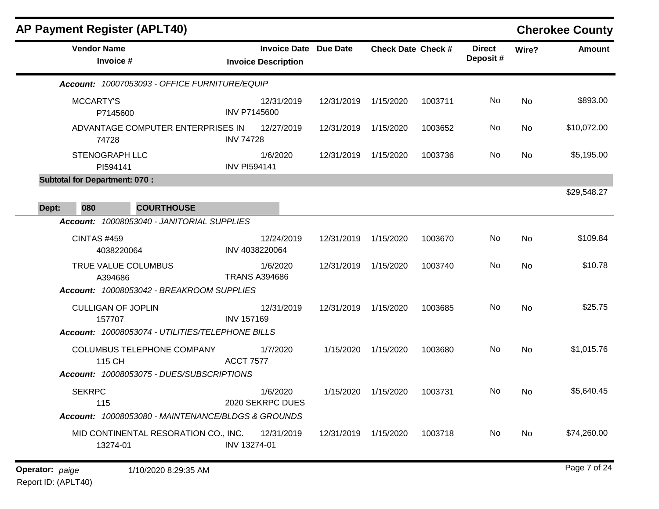|       | <b>AP Payment Register (APLT40)</b>                |                     |                                                            |                      |                           |         |                           |           | <b>Cherokee County</b> |
|-------|----------------------------------------------------|---------------------|------------------------------------------------------------|----------------------|---------------------------|---------|---------------------------|-----------|------------------------|
|       | <b>Vendor Name</b><br>Invoice #                    |                     | <b>Invoice Date Due Date</b><br><b>Invoice Description</b> |                      | <b>Check Date Check #</b> |         | <b>Direct</b><br>Deposit# | Wire?     | <b>Amount</b>          |
|       | Account: 10007053093 - OFFICE FURNITURE/EQUIP      |                     |                                                            |                      |                           |         |                           |           |                        |
|       | MCCARTY'S<br>P7145600                              |                     | 12/31/2019<br><b>INV P7145600</b>                          | 12/31/2019           | 1/15/2020                 | 1003711 | No                        | <b>No</b> | \$893.00               |
|       | ADVANTAGE COMPUTER ENTERPRISES IN<br>74728         | <b>INV 74728</b>    | 12/27/2019                                                 | 12/31/2019           | 1/15/2020                 | 1003652 | No.                       | No        | \$10,072.00            |
|       | <b>STENOGRAPH LLC</b><br>PI594141                  | <b>INV PI594141</b> | 1/6/2020                                                   | 12/31/2019           | 1/15/2020                 | 1003736 | No                        | <b>No</b> | \$5,195.00             |
|       | <b>Subtotal for Department: 070:</b>               |                     |                                                            |                      |                           |         |                           |           |                        |
|       |                                                    |                     |                                                            |                      |                           |         |                           |           | \$29,548.27            |
| Dept: | 080<br><b>COURTHOUSE</b>                           |                     |                                                            |                      |                           |         |                           |           |                        |
|       | Account: 10008053040 - JANITORIAL SUPPLIES         |                     |                                                            |                      |                           |         |                           |           |                        |
|       | <b>CINTAS #459</b><br>4038220064                   |                     | 12/24/2019<br>INV 4038220064                               | 12/31/2019           | 1/15/2020                 | 1003670 | No                        | <b>No</b> | \$109.84               |
|       | TRUE VALUE COLUMBUS<br>A394686                     |                     | 1/6/2020<br><b>TRANS A394686</b>                           | 12/31/2019 1/15/2020 |                           | 1003740 | No                        | <b>No</b> | \$10.78                |
|       | Account: 10008053042 - BREAKROOM SUPPLIES          |                     |                                                            |                      |                           |         |                           |           |                        |
|       | <b>CULLIGAN OF JOPLIN</b><br>157707                | <b>INV 157169</b>   | 12/31/2019                                                 | 12/31/2019           | 1/15/2020                 | 1003685 | No                        | <b>No</b> | \$25.75                |
|       | Account: 10008053074 - UTILITIES/TELEPHONE BILLS   |                     |                                                            |                      |                           |         |                           |           |                        |
|       | COLUMBUS TELEPHONE COMPANY<br>115 CH               | <b>ACCT 7577</b>    | 1/7/2020                                                   | 1/15/2020            | 1/15/2020                 | 1003680 | No.                       | <b>No</b> | \$1,015.76             |
|       | Account: 10008053075 - DUES/SUBSCRIPTIONS          |                     |                                                            |                      |                           |         |                           |           |                        |
|       | <b>SEKRPC</b><br>115                               |                     | 1/6/2020<br>2020 SEKRPC DUES                               | 1/15/2020            | 1/15/2020                 | 1003731 | No                        | <b>No</b> | \$5,640.45             |
|       | Account: 10008053080 - MAINTENANCE/BLDGS & GROUNDS |                     |                                                            |                      |                           |         |                           |           |                        |
|       | MID CONTINENTAL RESORATION CO., INC.<br>13274-01   | INV 13274-01        | 12/31/2019                                                 | 12/31/2019           | 1/15/2020                 | 1003718 | No                        | No        | \$74,260.00            |
|       |                                                    |                     |                                                            |                      |                           |         |                           |           |                        |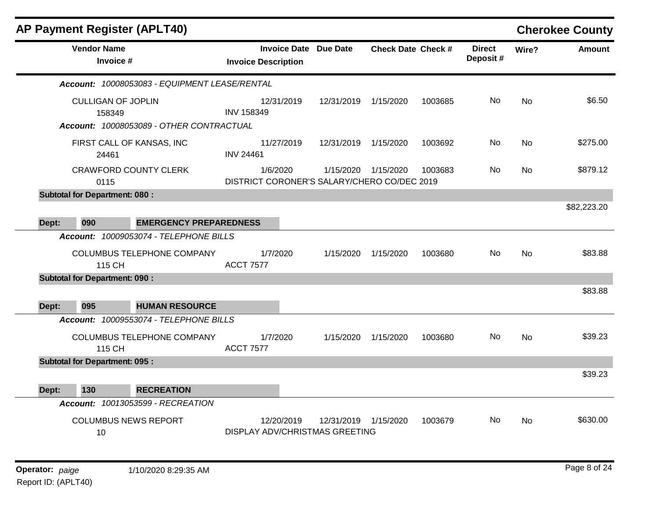|       |                                      | <b>AP Payment Register (APLT40)</b>           |                                                         |                      |                           |         |                           |           | <b>Cherokee County</b> |
|-------|--------------------------------------|-----------------------------------------------|---------------------------------------------------------|----------------------|---------------------------|---------|---------------------------|-----------|------------------------|
|       | <b>Vendor Name</b><br>Invoice #      |                                               | Invoice Date Due Date<br><b>Invoice Description</b>     |                      | <b>Check Date Check #</b> |         | <b>Direct</b><br>Deposit# | Wire?     | <b>Amount</b>          |
|       |                                      | Account: 10008053083 - EQUIPMENT LEASE/RENTAL |                                                         |                      |                           |         |                           |           |                        |
|       | <b>CULLIGAN OF JOPLIN</b><br>158349  |                                               | 12/31/2019<br><b>INV 158349</b>                         | 12/31/2019 1/15/2020 |                           | 1003685 | N <sub>o</sub>            | <b>No</b> | \$6.50                 |
|       |                                      | Account: 10008053089 - OTHER CONTRACTUAL      |                                                         |                      |                           |         |                           |           |                        |
|       | 24461                                | FIRST CALL OF KANSAS, INC                     | 11/27/2019<br><b>INV 24461</b>                          | 12/31/2019 1/15/2020 |                           | 1003692 | No                        | <b>No</b> | \$275.00               |
|       | 0115                                 | <b>CRAWFORD COUNTY CLERK</b>                  | 1/6/2020<br>DISTRICT CORONER'S SALARY/CHERO CO/DEC 2019 |                      | 1/15/2020 1/15/2020       | 1003683 | No.                       | <b>No</b> | \$879.12               |
|       | <b>Subtotal for Department: 080:</b> |                                               |                                                         |                      |                           |         |                           |           |                        |
| Dept: | 090                                  | <b>EMERGENCY PREPAREDNESS</b>                 |                                                         |                      |                           |         |                           |           | \$82,223.20            |
|       |                                      | Account: 10009053074 - TELEPHONE BILLS        |                                                         |                      |                           |         |                           |           |                        |
|       | 115 CH                               | COLUMBUS TELEPHONE COMPANY                    | 1/7/2020<br><b>ACCT 7577</b>                            | 1/15/2020            | 1/15/2020                 | 1003680 | <b>No</b>                 | <b>No</b> | \$83.88                |
|       | <b>Subtotal for Department: 090:</b> |                                               |                                                         |                      |                           |         |                           |           |                        |
|       | 095                                  | <b>HUMAN RESOURCE</b>                         |                                                         |                      |                           |         |                           |           | \$83.88                |
| Dept: |                                      | Account: 10009553074 - TELEPHONE BILLS        |                                                         |                      |                           |         |                           |           |                        |
|       | 115 CH                               | COLUMBUS TELEPHONE COMPANY                    | 1/7/2020<br><b>ACCT 7577</b>                            | 1/15/2020            | 1/15/2020                 | 1003680 | No.                       | <b>No</b> | \$39.23                |
|       | <b>Subtotal for Department: 095:</b> |                                               |                                                         |                      |                           |         |                           |           |                        |
| Dept: | 130                                  | <b>RECREATION</b>                             |                                                         |                      |                           |         |                           |           | \$39.23                |
|       |                                      | Account: 10013053599 - RECREATION             |                                                         |                      |                           |         |                           |           |                        |
|       | 10                                   | <b>COLUMBUS NEWS REPORT</b>                   | 12/20/2019<br><b>DISPLAY ADV/CHRISTMAS GREETING</b>     | 12/31/2019           | 1/15/2020                 | 1003679 | <b>No</b>                 | <b>No</b> | \$630.00               |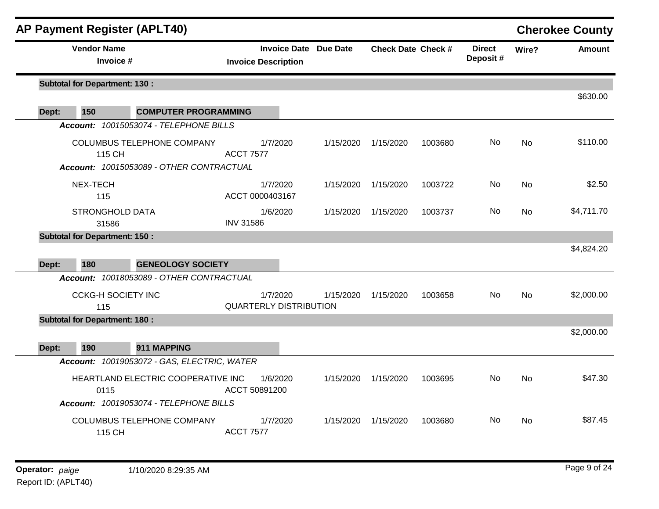|       | <b>AP Payment Register (APLT40)</b>                                                  |                             |                                           |                              |                           |         |                            |           | <b>Cherokee County</b> |
|-------|--------------------------------------------------------------------------------------|-----------------------------|-------------------------------------------|------------------------------|---------------------------|---------|----------------------------|-----------|------------------------|
|       | <b>Vendor Name</b><br>Invoice #                                                      |                             | <b>Invoice Description</b>                | <b>Invoice Date Due Date</b> | <b>Check Date Check #</b> |         | <b>Direct</b><br>Deposit # | Wire?     | <b>Amount</b>          |
|       | <b>Subtotal for Department: 130:</b>                                                 |                             |                                           |                              |                           |         |                            |           | \$630.00               |
| Dept: | 150                                                                                  | <b>COMPUTER PROGRAMMING</b> |                                           |                              |                           |         |                            |           |                        |
|       | Account: 10015053074 - TELEPHONE BILLS                                               |                             |                                           |                              |                           |         |                            |           |                        |
|       | COLUMBUS TELEPHONE COMPANY<br>115 CH<br>Account: 10015053089 - OTHER CONTRACTUAL     |                             | 1/7/2020<br><b>ACCT 7577</b>              | 1/15/2020                    | 1/15/2020                 | 1003680 | No.                        | No        | \$110.00               |
|       | NEX-TECH<br>115                                                                      |                             | 1/7/2020<br>ACCT 0000403167               | 1/15/2020                    | 1/15/2020                 | 1003722 | No                         | No        | \$2.50                 |
|       | <b>STRONGHOLD DATA</b><br>31586                                                      |                             | 1/6/2020<br><b>INV 31586</b>              | 1/15/2020                    | 1/15/2020                 | 1003737 | No.                        | No        | \$4,711.70             |
|       | <b>Subtotal for Department: 150:</b>                                                 |                             |                                           |                              |                           |         |                            |           |                        |
| Dept: | 180                                                                                  | <b>GENEOLOGY SOCIETY</b>    |                                           |                              |                           |         |                            |           | \$4,824.20             |
|       | Account: 10018053089 - OTHER CONTRACTUAL                                             |                             |                                           |                              |                           |         |                            |           |                        |
|       | <b>CCKG-H SOCIETY INC</b><br>115                                                     |                             | 1/7/2020<br><b>QUARTERLY DISTRIBUTION</b> | 1/15/2020                    | 1/15/2020                 | 1003658 | No.                        | <b>No</b> | \$2,000.00             |
|       | <b>Subtotal for Department: 180:</b>                                                 |                             |                                           |                              |                           |         |                            |           |                        |
|       |                                                                                      | 911 MAPPING                 |                                           |                              |                           |         |                            |           | \$2,000.00             |
| Dept: | 190<br>Account: 10019053072 - GAS, ELECTRIC, WATER                                   |                             |                                           |                              |                           |         |                            |           |                        |
|       | HEARTLAND ELECTRIC COOPERATIVE INC<br>0115<br>Account: 10019053074 - TELEPHONE BILLS |                             | 1/6/2020<br>ACCT 50891200                 | 1/15/2020                    | 1/15/2020                 | 1003695 | No.                        | No        | \$47.30                |
|       | <b>COLUMBUS TELEPHONE COMPANY</b><br>115 CH                                          |                             | 1/7/2020<br><b>ACCT 7577</b>              | 1/15/2020                    | 1/15/2020                 | 1003680 | No.                        | <b>No</b> | \$87.45                |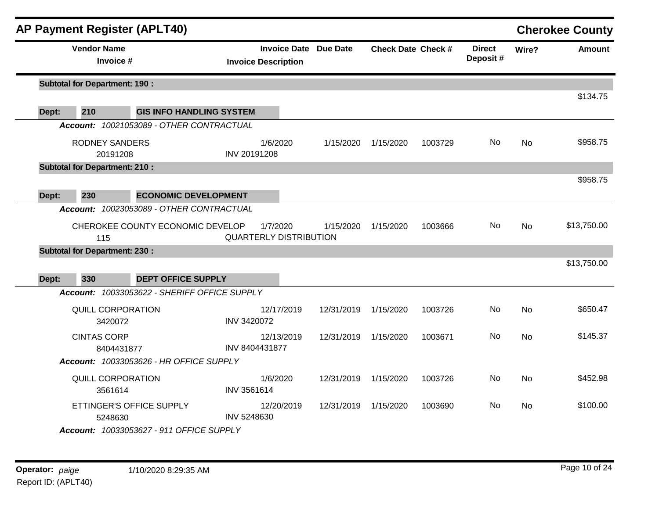|       |                    | <b>AP Payment Register (APLT40)</b>  |                                              |              |                                                   |            |                           |         |                           |           | <b>Cherokee County</b> |
|-------|--------------------|--------------------------------------|----------------------------------------------|--------------|---------------------------------------------------|------------|---------------------------|---------|---------------------------|-----------|------------------------|
|       | <b>Vendor Name</b> | Invoice #                            |                                              |              | <b>Invoice Date</b><br><b>Invoice Description</b> | Due Date   | <b>Check Date Check #</b> |         | <b>Direct</b><br>Deposit# | Wire?     | Amount                 |
|       |                    | <b>Subtotal for Department: 190:</b> |                                              |              |                                                   |            |                           |         |                           |           |                        |
| Dept: | 210                |                                      | <b>GIS INFO HANDLING SYSTEM</b>              |              |                                                   |            |                           |         |                           |           | \$134.75               |
|       |                    |                                      | Account: 10021053089 - OTHER CONTRACTUAL     |              |                                                   |            |                           |         |                           |           |                        |
|       |                    | <b>RODNEY SANDERS</b><br>20191208    |                                              | INV 20191208 | 1/6/2020                                          | 1/15/2020  | 1/15/2020                 | 1003729 | No.                       | No.       | \$958.75               |
|       |                    | <b>Subtotal for Department: 210:</b> |                                              |              |                                                   |            |                           |         |                           |           |                        |
|       |                    |                                      |                                              |              |                                                   |            |                           |         |                           |           | \$958.75               |
| Dept: | 230                |                                      | <b>ECONOMIC DEVELOPMENT</b>                  |              |                                                   |            |                           |         |                           |           |                        |
|       |                    |                                      | Account: 10023053089 - OTHER CONTRACTUAL     |              |                                                   |            |                           |         |                           |           |                        |
|       |                    | 115                                  | CHEROKEE COUNTY ECONOMIC DEVELOP             |              | 1/7/2020<br><b>QUARTERLY DISTRIBUTION</b>         | 1/15/2020  | 1/15/2020                 | 1003666 | No.                       | <b>No</b> | \$13,750.00            |
|       |                    | <b>Subtotal for Department: 230:</b> |                                              |              |                                                   |            |                           |         |                           |           |                        |
|       |                    |                                      |                                              |              |                                                   |            |                           |         |                           |           | \$13,750.00            |
| Dept: | 330                |                                      | <b>DEPT OFFICE SUPPLY</b>                    |              |                                                   |            |                           |         |                           |           |                        |
|       |                    |                                      | Account: 10033053622 - SHERIFF OFFICE SUPPLY |              |                                                   |            |                           |         |                           |           |                        |
|       |                    | <b>QUILL CORPORATION</b><br>3420072  |                                              | INV 3420072  | 12/17/2019                                        | 12/31/2019 | 1/15/2020                 | 1003726 | No.                       | No        | \$650.47               |
|       | <b>CINTAS CORP</b> | 8404431877                           |                                              |              | 12/13/2019<br>INV 8404431877                      | 12/31/2019 | 1/15/2020                 | 1003671 | No.                       | No        | \$145.37               |
|       |                    |                                      | Account: 10033053626 - HR OFFICE SUPPLY      |              |                                                   |            |                           |         |                           |           |                        |
|       |                    | <b>QUILL CORPORATION</b><br>3561614  |                                              | INV 3561614  | 1/6/2020                                          | 12/31/2019 | 1/15/2020                 | 1003726 | No                        | <b>No</b> | \$452.98               |
|       |                    | ETTINGER'S OFFICE SUPPLY<br>5248630  |                                              | INV 5248630  | 12/20/2019                                        | 12/31/2019 | 1/15/2020                 | 1003690 | No.                       | No.       | \$100.00               |
|       |                    |                                      | Account: 10033053627 - 911 OFFICE SUPPLY     |              |                                                   |            |                           |         |                           |           |                        |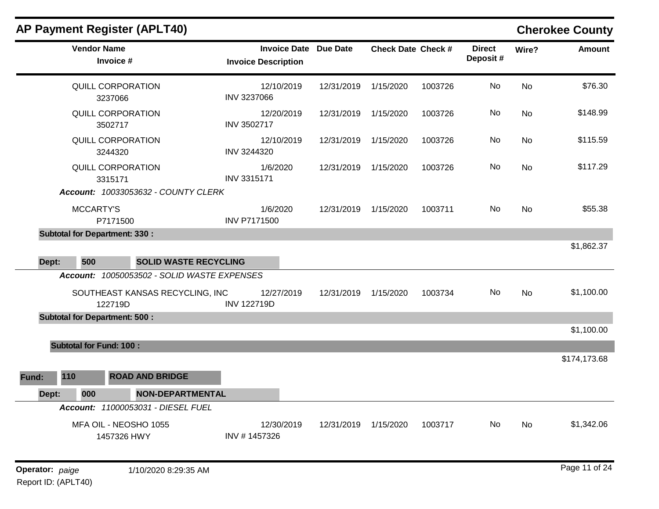|       |                                | <b>AP Payment Register (APLT40)</b>         |                                                   |                      |                           |         |                           |           | <b>Cherokee County</b> |
|-------|--------------------------------|---------------------------------------------|---------------------------------------------------|----------------------|---------------------------|---------|---------------------------|-----------|------------------------|
|       | <b>Vendor Name</b>             | Invoice #                                   | <b>Invoice Date</b><br><b>Invoice Description</b> | <b>Due Date</b>      | <b>Check Date Check #</b> |         | <b>Direct</b><br>Deposit# | Wire?     | <b>Amount</b>          |
|       |                                | QUILL CORPORATION<br>3237066                | 12/10/2019<br><b>INV 3237066</b>                  | 12/31/2019           | 1/15/2020                 | 1003726 | No                        | <b>No</b> | \$76.30                |
|       |                                | QUILL CORPORATION<br>3502717                | 12/20/2019<br>INV 3502717                         | 12/31/2019           | 1/15/2020                 | 1003726 | No                        | <b>No</b> | \$148.99               |
|       |                                | QUILL CORPORATION<br>3244320                | 12/10/2019<br>INV 3244320                         | 12/31/2019           | 1/15/2020                 | 1003726 | No                        | No        | \$115.59               |
|       |                                | QUILL CORPORATION<br>3315171                | 1/6/2020<br>INV 3315171                           | 12/31/2019           | 1/15/2020                 | 1003726 | No                        | No        | \$117.29               |
|       |                                | Account: 10033053632 - COUNTY CLERK         |                                                   |                      |                           |         |                           |           |                        |
|       | <b>MCCARTY'S</b>               | P7171500                                    | 1/6/2020<br><b>INV P7171500</b>                   | 12/31/2019           | 1/15/2020                 | 1003711 | No                        | <b>No</b> | \$55.38                |
|       |                                | <b>Subtotal for Department: 330:</b>        |                                                   |                      |                           |         |                           |           |                        |
|       |                                |                                             |                                                   |                      |                           |         |                           |           | \$1,862.37             |
| Dept: | 500                            | <b>SOLID WASTE RECYCLING</b>                |                                                   |                      |                           |         |                           |           |                        |
|       |                                | Account: 10050053502 - SOLID WASTE EXPENSES |                                                   |                      |                           |         |                           |           |                        |
|       |                                | SOUTHEAST KANSAS RECYCLING, INC<br>122719D  | 12/27/2019<br><b>INV 122719D</b>                  | 12/31/2019           | 1/15/2020                 | 1003734 | No                        | <b>No</b> | \$1,100.00             |
|       |                                | <b>Subtotal for Department: 500:</b>        |                                                   |                      |                           |         |                           |           |                        |
|       |                                |                                             |                                                   |                      |                           |         |                           |           | \$1,100.00             |
|       | <b>Subtotal for Fund: 100:</b> |                                             |                                                   |                      |                           |         |                           |           |                        |
|       |                                |                                             |                                                   |                      |                           |         |                           |           | \$174,173.68           |
| Fund: | 110                            | <b>ROAD AND BRIDGE</b>                      |                                                   |                      |                           |         |                           |           |                        |
| Dept: | 000                            | <b>NON-DEPARTMENTAL</b>                     |                                                   |                      |                           |         |                           |           |                        |
|       |                                | Account: 11000053031 - DIESEL FUEL          |                                                   |                      |                           |         |                           |           |                        |
|       |                                | MFA OIL - NEOSHO 1055<br>1457326 HWY        | 12/30/2019<br>INV #1457326                        | 12/31/2019 1/15/2020 |                           | 1003717 | No                        | No        | \$1,342.06             |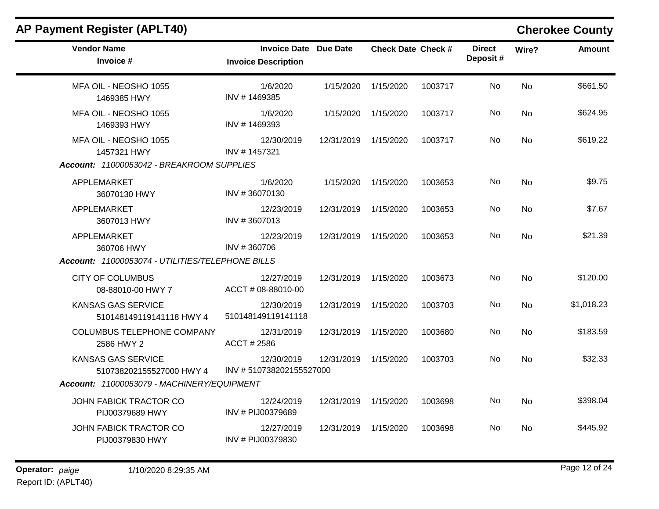| <b>AP Payment Register (APLT40)</b>                   |                                                            |                      |                           |         |                           |                | <b>Cherokee County</b> |
|-------------------------------------------------------|------------------------------------------------------------|----------------------|---------------------------|---------|---------------------------|----------------|------------------------|
| <b>Vendor Name</b><br>Invoice #                       | <b>Invoice Date Due Date</b><br><b>Invoice Description</b> |                      | <b>Check Date Check #</b> |         | <b>Direct</b><br>Deposit# | Wire?          | <b>Amount</b>          |
| MFA OIL - NEOSHO 1055<br>1469385 HWY                  | 1/6/2020<br>INV #1469385                                   | 1/15/2020            | 1/15/2020                 | 1003717 | No.                       | <b>No</b>      | \$661.50               |
| MFA OIL - NEOSHO 1055<br>1469393 HWY                  | 1/6/2020<br>INV #1469393                                   | 1/15/2020            | 1/15/2020                 | 1003717 | No.                       | No             | \$624.95               |
| MFA OIL - NEOSHO 1055<br>1457321 HWY                  | 12/30/2019<br>INV #1457321                                 | 12/31/2019 1/15/2020 |                           | 1003717 | No.                       | N <sub>o</sub> | \$619.22               |
| Account: 11000053042 - BREAKROOM SUPPLIES             |                                                            |                      |                           |         |                           |                |                        |
| APPLEMARKET<br>36070130 HWY                           | 1/6/2020<br>INV #36070130                                  | 1/15/2020            | 1/15/2020                 | 1003653 | No                        | N <sub>o</sub> | \$9.75                 |
| APPLEMARKET<br>3607013 HWY                            | 12/23/2019<br>INV #3607013                                 | 12/31/2019           | 1/15/2020                 | 1003653 | No                        | No             | \$7.67                 |
| APPLEMARKET<br>360706 HWY                             | 12/23/2019<br>INV #360706                                  | 12/31/2019 1/15/2020 |                           | 1003653 | No.                       | N <sub>o</sub> | \$21.39                |
| Account: 11000053074 - UTILITIES/TELEPHONE BILLS      |                                                            |                      |                           |         |                           |                |                        |
| <b>CITY OF COLUMBUS</b><br>08-88010-00 HWY 7          | 12/27/2019<br>ACCT # 08-88010-00                           | 12/31/2019           | 1/15/2020                 | 1003673 | No.                       | <b>No</b>      | \$120.00               |
| <b>KANSAS GAS SERVICE</b><br>510148149119141118 HWY 4 | 12/30/2019<br>510148149119141118                           | 12/31/2019 1/15/2020 |                           | 1003703 | No.                       | N <sub>o</sub> | \$1,018.23             |
| COLUMBUS TELEPHONE COMPANY<br>2586 HWY 2              | 12/31/2019<br>ACCT # 2586                                  | 12/31/2019 1/15/2020 |                           | 1003680 | No                        | <b>No</b>      | \$183.59               |
| <b>KANSAS GAS SERVICE</b><br>510738202155527000 HWY 4 | 12/30/2019<br>INV #510738202155527000                      | 12/31/2019           | 1/15/2020                 | 1003703 | No.                       | N <sub>o</sub> | \$32.33                |
| Account: 11000053079 - MACHINERY/EQUIPMENT            |                                                            |                      |                           |         |                           |                |                        |
| JOHN FABICK TRACTOR CO<br>PIJ00379689 HWY             | 12/24/2019<br>INV # PIJ00379689                            | 12/31/2019           | 1/15/2020                 | 1003698 | No.                       | <b>No</b>      | \$398.04               |
| JOHN FABICK TRACTOR CO<br>PIJ00379830 HWY             | 12/27/2019<br>INV # PIJ00379830                            | 12/31/2019           | 1/15/2020                 | 1003698 | No.                       | N <sub>o</sub> | \$445.92               |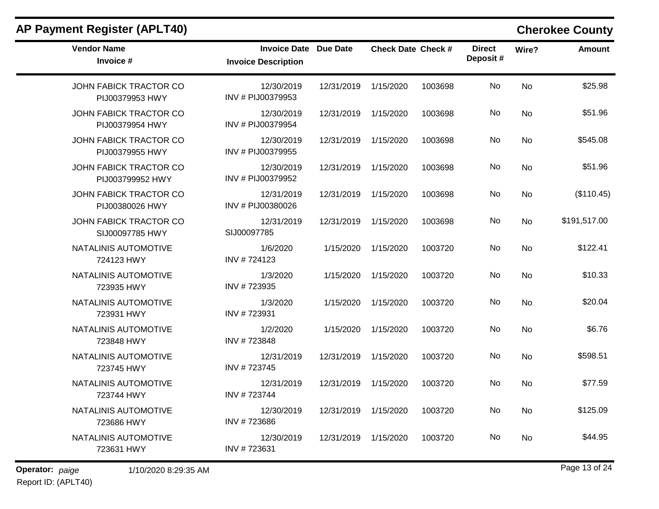| <b>Vendor Name</b><br>Invoice #            | <b>Invoice Date Due Date</b><br><b>Invoice Description</b> |                      | <b>Check Date Check #</b> |         | <b>Direct</b><br>Deposit# | Wire?     | <b>Amount</b> |
|--------------------------------------------|------------------------------------------------------------|----------------------|---------------------------|---------|---------------------------|-----------|---------------|
| JOHN FABICK TRACTOR CO<br>PIJ00379953 HWY  | 12/30/2019<br>INV # PIJ00379953                            | 12/31/2019 1/15/2020 |                           | 1003698 | No                        | No        | \$25.98       |
| JOHN FABICK TRACTOR CO<br>PIJ00379954 HWY  | 12/30/2019<br>INV # PIJ00379954                            | 12/31/2019           | 1/15/2020                 | 1003698 | No                        | <b>No</b> | \$51.96       |
| JOHN FABICK TRACTOR CO<br>PIJ00379955 HWY  | 12/30/2019<br>INV # PIJ00379955                            | 12/31/2019           | 1/15/2020                 | 1003698 | No                        | <b>No</b> | \$545.08      |
| JOHN FABICK TRACTOR CO<br>PIJ003799952 HWY | 12/30/2019<br>INV # PIJ00379952                            | 12/31/2019           | 1/15/2020                 | 1003698 | No                        | No        | \$51.96       |
| JOHN FABICK TRACTOR CO<br>PIJ00380026 HWY  | 12/31/2019<br>INV # PIJ00380026                            | 12/31/2019 1/15/2020 |                           | 1003698 | No                        | <b>No</b> | (\$110.45)    |
| JOHN FABICK TRACTOR CO<br>SIJ00097785 HWY  | 12/31/2019<br>SIJ00097785                                  | 12/31/2019           | 1/15/2020                 | 1003698 | No.                       | No        | \$191,517.00  |
| NATALINIS AUTOMOTIVE<br>724123 HWY         | 1/6/2020<br>INV #724123                                    | 1/15/2020            | 1/15/2020                 | 1003720 | No                        | <b>No</b> | \$122.41      |
| NATALINIS AUTOMOTIVE<br>723935 HWY         | 1/3/2020<br>INV #723935                                    | 1/15/2020            | 1/15/2020                 | 1003720 | No                        | <b>No</b> | \$10.33       |
| NATALINIS AUTOMOTIVE<br>723931 HWY         | 1/3/2020<br>INV #723931                                    | 1/15/2020            | 1/15/2020                 | 1003720 | No                        | <b>No</b> | \$20.04       |
| NATALINIS AUTOMOTIVE<br>723848 HWY         | 1/2/2020<br>INV #723848                                    | 1/15/2020            | 1/15/2020                 | 1003720 | No                        | <b>No</b> | \$6.76        |
| NATALINIS AUTOMOTIVE<br>723745 HWY         | 12/31/2019<br>INV #723745                                  | 12/31/2019           | 1/15/2020                 | 1003720 | <b>No</b>                 | <b>No</b> | \$598.51      |
| NATALINIS AUTOMOTIVE<br>723744 HWY         | 12/31/2019<br>INV #723744                                  | 12/31/2019           | 1/15/2020                 | 1003720 | No                        | <b>No</b> | \$77.59       |
| NATALINIS AUTOMOTIVE<br>723686 HWY         | 12/30/2019<br>INV #723686                                  | 12/31/2019           | 1/15/2020                 | 1003720 | No                        | No        | \$125.09      |
| NATALINIS AUTOMOTIVE<br>723631 HWY         | 12/30/2019<br>INV #723631                                  | 12/31/2019           | 1/15/2020                 | 1003720 | No                        | <b>No</b> | \$44.95       |

## **AP Payment Register (APLT40) Cherokee County**

**Operator:** paige 1/10/2020 8:29:35 AM *Page 13 of 24 Page 13 of 24* Report ID: (APLT40)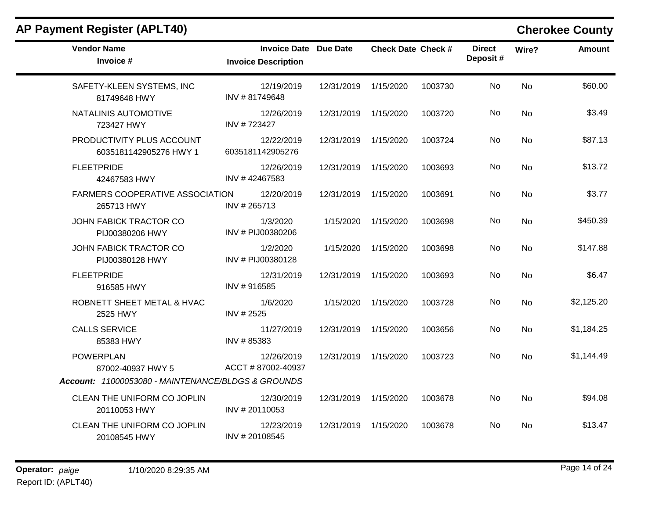| <b>Vendor Name</b><br>Invoice #                      | <b>Invoice Date Due Date</b><br><b>Invoice Description</b> |                      | <b>Check Date Check #</b> |         | <b>Direct</b><br>Deposit# | Wire?          | Amount     |
|------------------------------------------------------|------------------------------------------------------------|----------------------|---------------------------|---------|---------------------------|----------------|------------|
| SAFETY-KLEEN SYSTEMS, INC<br>81749648 HWY            | 12/19/2019<br>INV #81749648                                | 12/31/2019           | 1/15/2020                 | 1003730 | No                        | <b>No</b>      | \$60.00    |
| NATALINIS AUTOMOTIVE<br>723427 HWY                   | 12/26/2019<br>INV #723427                                  | 12/31/2019           | 1/15/2020                 | 1003720 | No.                       | No.            | \$3.49     |
| PRODUCTIVITY PLUS ACCOUNT<br>6035181142905276 HWY 1  | 12/22/2019<br>6035181142905276                             | 12/31/2019           | 1/15/2020                 | 1003724 | No                        | <b>No</b>      | \$87.13    |
| <b>FLEETPRIDE</b><br>42467583 HWY                    | 12/26/2019<br>INV #42467583                                | 12/31/2019 1/15/2020 |                           | 1003693 | No                        | No             | \$13.72    |
| <b>FARMERS COOPERATIVE ASSOCIATION</b><br>265713 HWY | 12/20/2019<br>INV #265713                                  | 12/31/2019           | 1/15/2020                 | 1003691 | No                        | No             | \$3.77     |
| JOHN FABICK TRACTOR CO<br>PIJ00380206 HWY            | 1/3/2020<br>INV # PIJ00380206                              | 1/15/2020            | 1/15/2020                 | 1003698 | No.                       | No.            | \$450.39   |
| JOHN FABICK TRACTOR CO<br>PIJ00380128 HWY            | 1/2/2020<br>INV # PIJ00380128                              | 1/15/2020            | 1/15/2020                 | 1003698 | No                        | <b>No</b>      | \$147.88   |
| <b>FLEETPRIDE</b><br>916585 HWY                      | 12/31/2019<br>INV #916585                                  | 12/31/2019 1/15/2020 |                           | 1003693 | No                        | No             | \$6.47     |
| ROBNETT SHEET METAL & HVAC<br>2525 HWY               | 1/6/2020<br>INV # 2525                                     | 1/15/2020            | 1/15/2020                 | 1003728 | No                        | <b>No</b>      | \$2,125.20 |
| <b>CALLS SERVICE</b><br>85383 HWY                    | 11/27/2019<br>INV #85383                                   | 12/31/2019           | 1/15/2020                 | 1003656 | No.                       | N <sub>o</sub> | \$1,184.25 |
| <b>POWERPLAN</b><br>87002-40937 HWY 5                | 12/26/2019<br>ACCT #87002-40937                            | 12/31/2019           | 1/15/2020                 | 1003723 | No                        | <b>No</b>      | \$1,144.49 |
| Account: 11000053080 - MAINTENANCE/BLDGS & GROUNDS   |                                                            |                      |                           |         |                           |                |            |
| CLEAN THE UNIFORM CO JOPLIN<br>20110053 HWY          | 12/30/2019<br>INV #20110053                                | 12/31/2019           | 1/15/2020                 | 1003678 | No                        | No             | \$94.08    |
| CLEAN THE UNIFORM CO JOPLIN<br>20108545 HWY          | 12/23/2019<br>INV #20108545                                | 12/31/2019           | 1/15/2020                 | 1003678 | No.                       | No.            | \$13.47    |

### **AP Payment Register (APLT40) Cherokee County**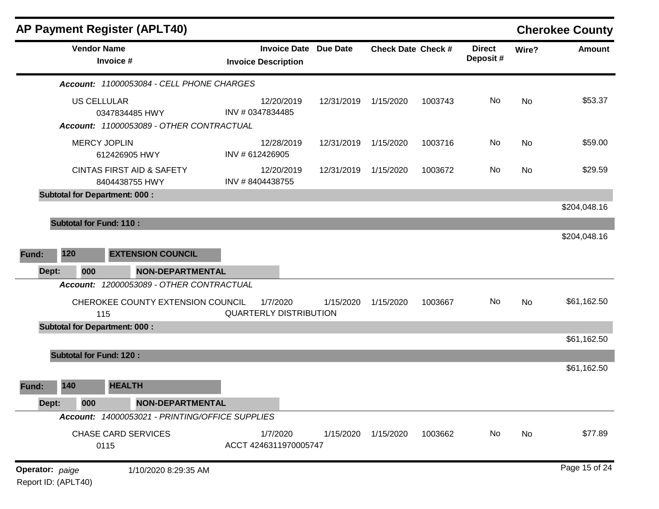|                 |                                | <b>AP Payment Register (APLT40)</b>                                              |                                                            |            |                           |         |                           |       | <b>Cherokee County</b> |
|-----------------|--------------------------------|----------------------------------------------------------------------------------|------------------------------------------------------------|------------|---------------------------|---------|---------------------------|-------|------------------------|
|                 |                                | <b>Vendor Name</b><br>Invoice #                                                  | <b>Invoice Date Due Date</b><br><b>Invoice Description</b> |            | <b>Check Date Check #</b> |         | <b>Direct</b><br>Deposit# | Wire? | <b>Amount</b>          |
|                 |                                | Account: 11000053084 - CELL PHONE CHARGES                                        |                                                            |            |                           |         |                           |       |                        |
|                 |                                | <b>US CELLULAR</b><br>0347834485 HWY<br>Account: 11000053089 - OTHER CONTRACTUAL | 12/20/2019<br>INV # 0347834485                             | 12/31/2019 | 1/15/2020                 | 1003743 | No                        | No    | \$53.37                |
|                 |                                | <b>MERCY JOPLIN</b><br>612426905 HWY                                             | 12/28/2019<br>INV # 612426905                              | 12/31/2019 | 1/15/2020                 | 1003716 | No                        | No    | \$59.00                |
|                 |                                | <b>CINTAS FIRST AID &amp; SAFETY</b><br>8404438755 HWY                           | 12/20/2019<br>INV #8404438755                              | 12/31/2019 | 1/15/2020                 | 1003672 | No                        | No    | \$29.59                |
|                 |                                | <b>Subtotal for Department: 000:</b>                                             |                                                            |            |                           |         |                           |       | \$204,048.16           |
|                 | <b>Subtotal for Fund: 110:</b> |                                                                                  |                                                            |            |                           |         |                           |       |                        |
|                 |                                |                                                                                  |                                                            |            |                           |         |                           |       | \$204,048.16           |
| Fund:           | 120                            | <b>EXTENSION COUNCIL</b>                                                         |                                                            |            |                           |         |                           |       |                        |
| Dept:           | 000                            | <b>NON-DEPARTMENTAL</b>                                                          |                                                            |            |                           |         |                           |       |                        |
|                 | <b>Account:</b>                | 12000053089 - OTHER CONTRACTUAL                                                  |                                                            |            |                           |         |                           |       |                        |
|                 |                                | CHEROKEE COUNTY EXTENSION COUNCIL<br>115                                         | 1/7/2020<br><b>QUARTERLY DISTRIBUTION</b>                  | 1/15/2020  | 1/15/2020                 | 1003667 | No                        | No    | \$61,162.50            |
|                 |                                | <b>Subtotal for Department: 000:</b>                                             |                                                            |            |                           |         |                           |       |                        |
|                 |                                |                                                                                  |                                                            |            |                           |         |                           |       | \$61,162.50            |
|                 | <b>Subtotal for Fund: 120:</b> |                                                                                  |                                                            |            |                           |         |                           |       | \$61,162.50            |
| Fund:           | 140                            | <b>HEALTH</b>                                                                    |                                                            |            |                           |         |                           |       |                        |
| Dept:           | 000                            | <b>NON-DEPARTMENTAL</b>                                                          |                                                            |            |                           |         |                           |       |                        |
|                 |                                | Account: 14000053021 - PRINTING/OFFICE SUPPLIES                                  |                                                            |            |                           |         |                           |       |                        |
|                 |                                | <b>CHASE CARD SERVICES</b><br>0115                                               | 1/7/2020<br>ACCT 4246311970005747                          | 1/15/2020  | 1/15/2020                 | 1003662 | No                        | No    | \$77.89                |
| Operator: paige | Report ID: (APLT40)            | 1/10/2020 8:29:35 AM                                                             |                                                            |            |                           |         |                           |       | Page 15 of 24          |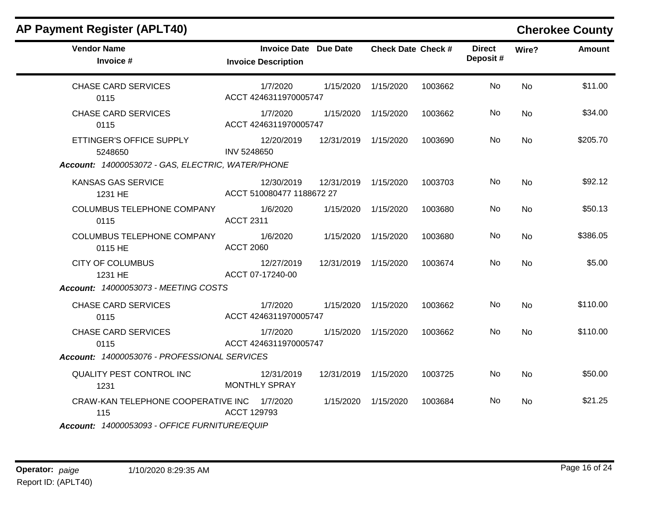### **Vendor Name Invoice Date Due Date Check Date Invoice # Check Date Check # Invoice Description Direct Wire? Amount Deposit #** CHASE CARD SERVICES 0115 1/7/2020 1/15/2020 1/15/2020 1003662 No \$11.00 ACCT 4246311970005747 No CHASE CARD SERVICES 0115 1/7/2020 1/15/2020 1/15/2020 1003662 No \$34.00 ACCT 4246311970005747 No ETTINGER'S OFFICE SUPPLY 5248650 12/20/2019 12/31/2019 1/15/2020 1003690 No \$205.70 INV 5248650 No *Account: 14000053072 - GAS, ELECTRIC, WATER/PHONE* KANSAS GAS SERVICE 1231 HE 12/30/2019 12/31/2019 1/15/2020 1003703 No \$92.12 ACCT 510080477 1188672 27 No COLUMBUS TELEPHONE COMPANY 0115 1/6/2020 1/15/2020 1/15/2020 1003680 No \$50.13 ACCT 2311 No COLUMBUS TELEPHONE COMPANY 0115 HE 1/6/2020 1/15/2020 1/15/2020 1003680 No \$386.05 ACCT 2060 No CITY OF COLUMBUS 1231 HE 12/27/2019 12/31/2019 1/15/2020 1003674 No \$5.00 ACCT 07-17240-00 No *Account: 14000053073 - MEETING COSTS* CHASE CARD SERVICES 0115 1/7/2020 1/15/2020 1/15/2020 1003662 No \$110.00 ACCT 4246311970005747 No CHASE CARD SERVICES 0115 1/7/2020 1/15/2020 1/15/2020 1003662 No \$110.00 ACCT 4246311970005747 No *Account: 14000053076 - PROFESSIONAL SERVICES* QUALITY PEST CONTROL INC 1231 12/31/2019 12/31/2019 1/15/2020 1003725 No \$50.00 MONTHLY SPRAY No CRAW-KAN TELEPHONE COOPERATIVE INC 115 1/7/2020 1/15/2020 1/15/2020 1003684 No \$21.25 ACCT 129793 No *Account: 14000053093 - OFFICE FURNITURE/EQUIP*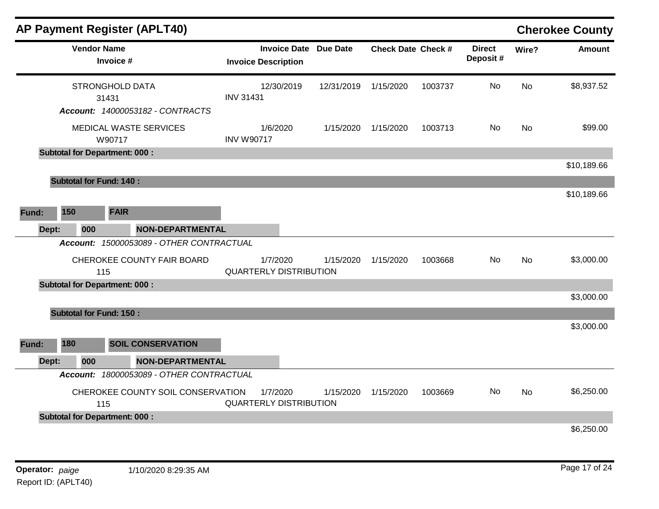|       |       |                    | <b>AP Payment Register (APLT40)</b>      |                                           |                              |            |                           |         |                           |           | <b>Cherokee County</b> |
|-------|-------|--------------------|------------------------------------------|-------------------------------------------|------------------------------|------------|---------------------------|---------|---------------------------|-----------|------------------------|
|       |       | <b>Vendor Name</b> | Invoice #                                | <b>Invoice Description</b>                | <b>Invoice Date Due Date</b> |            | <b>Check Date Check #</b> |         | <b>Direct</b><br>Deposit# | Wire?     | <b>Amount</b>          |
|       |       |                    | <b>STRONGHOLD DATA</b><br>31431          | 12/30/2019<br><b>INV 31431</b>            |                              | 12/31/2019 | 1/15/2020                 | 1003737 | No                        | <b>No</b> | \$8,937.52             |
|       |       |                    | Account: 14000053182 - CONTRACTS         |                                           |                              |            |                           |         |                           |           |                        |
|       |       |                    | MEDICAL WASTE SERVICES<br>W90717         | 1/6/2020<br><b>INV W90717</b>             |                              | 1/15/2020  | 1/15/2020                 | 1003713 | No.                       | No        | \$99.00                |
|       |       |                    | <b>Subtotal for Department: 000:</b>     |                                           |                              |            |                           |         |                           |           |                        |
|       |       |                    |                                          |                                           |                              |            |                           |         |                           |           | \$10,189.66            |
|       |       |                    | <b>Subtotal for Fund: 140:</b>           |                                           |                              |            |                           |         |                           |           |                        |
|       |       |                    |                                          |                                           |                              |            |                           |         |                           |           | \$10,189.66            |
| Fund: | 150   |                    | <b>FAIR</b>                              |                                           |                              |            |                           |         |                           |           |                        |
|       | Dept: | 000                | NON-DEPARTMENTAL                         |                                           |                              |            |                           |         |                           |           |                        |
|       |       |                    | Account: 15000053089 - OTHER CONTRACTUAL |                                           |                              |            |                           |         |                           |           |                        |
|       |       | 115                | CHEROKEE COUNTY FAIR BOARD               | 1/7/2020<br><b>QUARTERLY DISTRIBUTION</b> |                              | 1/15/2020  | 1/15/2020                 | 1003668 | No                        | <b>No</b> | \$3,000.00             |
|       |       |                    | <b>Subtotal for Department: 000:</b>     |                                           |                              |            |                           |         |                           |           |                        |
|       |       |                    |                                          |                                           |                              |            |                           |         |                           |           | \$3,000.00             |
|       |       |                    | <b>Subtotal for Fund: 150:</b>           |                                           |                              |            |                           |         |                           |           |                        |
|       |       |                    |                                          |                                           |                              |            |                           |         |                           |           | \$3,000.00             |
| Fund: | 180   |                    | <b>SOIL CONSERVATION</b>                 |                                           |                              |            |                           |         |                           |           |                        |
|       | Dept: | 000                | <b>NON-DEPARTMENTAL</b>                  |                                           |                              |            |                           |         |                           |           |                        |
|       |       |                    | Account: 18000053089 - OTHER CONTRACTUAL |                                           |                              |            |                           |         |                           |           |                        |
|       |       | 115                | CHEROKEE COUNTY SOIL CONSERVATION        | 1/7/2020<br><b>QUARTERLY DISTRIBUTION</b> |                              | 1/15/2020  | 1/15/2020                 | 1003669 | No                        | <b>No</b> | \$6,250.00             |
|       |       |                    | <b>Subtotal for Department: 000:</b>     |                                           |                              |            |                           |         |                           |           |                        |
|       |       |                    |                                          |                                           |                              |            |                           |         |                           |           | \$6,250.00             |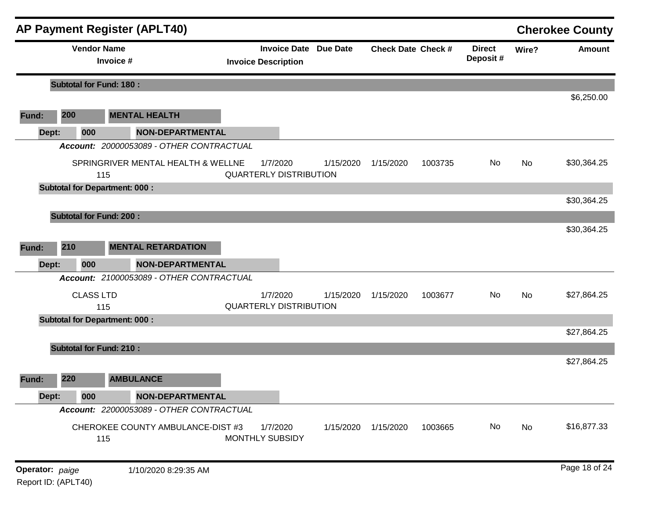|                 |     |                    | <b>AP Payment Register (APLT40)</b>       |                         |                                                            |           |                           |         |                           |       | <b>Cherokee County</b> |
|-----------------|-----|--------------------|-------------------------------------------|-------------------------|------------------------------------------------------------|-----------|---------------------------|---------|---------------------------|-------|------------------------|
|                 |     | <b>Vendor Name</b> | Invoice #                                 |                         | <b>Invoice Date Due Date</b><br><b>Invoice Description</b> |           | <b>Check Date Check #</b> |         | <b>Direct</b><br>Deposit# | Wire? | <b>Amount</b>          |
|                 |     |                    | <b>Subtotal for Fund: 180:</b>            |                         |                                                            |           |                           |         |                           |       |                        |
|                 |     |                    |                                           |                         |                                                            |           |                           |         |                           |       | \$6,250.00             |
| Fund:           | 200 |                    | <b>MENTAL HEALTH</b>                      |                         |                                                            |           |                           |         |                           |       |                        |
| Dept:           |     | 000                |                                           | <b>NON-DEPARTMENTAL</b> |                                                            |           |                           |         |                           |       |                        |
|                 |     |                    | Account: 20000053089 - OTHER CONTRACTUAL  |                         |                                                            |           |                           |         |                           |       |                        |
|                 |     |                    | SPRINGRIVER MENTAL HEALTH & WELLNE<br>115 |                         | 1/7/2020<br><b>QUARTERLY DISTRIBUTION</b>                  | 1/15/2020 | 1/15/2020                 | 1003735 | No                        | No    | \$30,364.25            |
|                 |     |                    | <b>Subtotal for Department: 000:</b>      |                         |                                                            |           |                           |         |                           |       |                        |
|                 |     |                    |                                           |                         |                                                            |           |                           |         |                           |       | \$30,364.25            |
|                 |     |                    | <b>Subtotal for Fund: 200:</b>            |                         |                                                            |           |                           |         |                           |       |                        |
|                 |     |                    |                                           |                         |                                                            |           |                           |         |                           |       | \$30,364.25            |
| Fund:           | 210 |                    | <b>MENTAL RETARDATION</b>                 |                         |                                                            |           |                           |         |                           |       |                        |
| Dept:           |     | 000                |                                           | <b>NON-DEPARTMENTAL</b> |                                                            |           |                           |         |                           |       |                        |
|                 |     |                    | Account: 21000053089 - OTHER CONTRACTUAL  |                         |                                                            |           |                           |         |                           |       |                        |
|                 |     | <b>CLASS LTD</b>   | 115                                       |                         | 1/7/2020<br><b>QUARTERLY DISTRIBUTION</b>                  | 1/15/2020 | 1/15/2020                 | 1003677 | No                        | No    | \$27,864.25            |
|                 |     |                    | <b>Subtotal for Department: 000:</b>      |                         |                                                            |           |                           |         |                           |       |                        |
|                 |     |                    |                                           |                         |                                                            |           |                           |         |                           |       | \$27,864.25            |
|                 |     |                    | <b>Subtotal for Fund: 210:</b>            |                         |                                                            |           |                           |         |                           |       |                        |
|                 |     |                    |                                           |                         |                                                            |           |                           |         |                           |       | \$27,864.25            |
| Fund:           | 220 |                    | <b>AMBULANCE</b>                          |                         |                                                            |           |                           |         |                           |       |                        |
| Dept:           |     | 000                |                                           | NON-DEPARTMENTAL        |                                                            |           |                           |         |                           |       |                        |
|                 |     |                    | Account: 22000053089 - OTHER CONTRACTUAL  |                         |                                                            |           |                           |         |                           |       |                        |
|                 |     |                    | CHEROKEE COUNTY AMBULANCE-DIST #3<br>115  |                         | 1/7/2020<br><b>MONTHLY SUBSIDY</b>                         | 1/15/2020 | 1/15/2020                 | 1003665 | No                        | No    | \$16,877.33            |
| Operator: paige |     |                    | 1/10/2020 8:29:35 AM                      |                         |                                                            |           |                           |         |                           |       | Page 18 of 24          |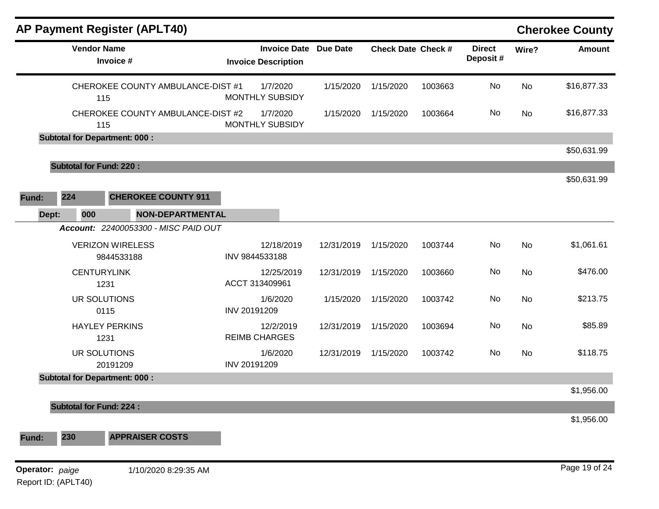| <b>AP Payment Register (APLT40)</b>        |                                                            |            |                           |         |                           |       | <b>Cherokee County</b> |
|--------------------------------------------|------------------------------------------------------------|------------|---------------------------|---------|---------------------------|-------|------------------------|
| <b>Vendor Name</b><br>Invoice #            | <b>Invoice Date Due Date</b><br><b>Invoice Description</b> |            | <b>Check Date Check #</b> |         | <b>Direct</b><br>Deposit# | Wire? | <b>Amount</b>          |
| CHEROKEE COUNTY AMBULANCE-DIST #1<br>115   | 1/7/2020<br>MONTHLY SUBSIDY                                | 1/15/2020  | 1/15/2020                 | 1003663 | No                        | No    | \$16,877.33            |
| CHEROKEE COUNTY AMBULANCE-DIST #2<br>115   | 1/7/2020<br><b>MONTHLY SUBSIDY</b>                         | 1/15/2020  | 1/15/2020                 | 1003664 | No                        | No    | \$16,877.33            |
| <b>Subtotal for Department: 000:</b>       |                                                            |            |                           |         |                           |       | \$50,631.99            |
| <b>Subtotal for Fund: 220:</b>             |                                                            |            |                           |         |                           |       |                        |
|                                            |                                                            |            |                           |         |                           |       | \$50,631.99            |
| 224<br><b>CHEROKEE COUNTY 911</b><br>Fund: |                                                            |            |                           |         |                           |       |                        |
| Dept:<br><b>NON-DEPARTMENTAL</b><br>000    |                                                            |            |                           |         |                           |       |                        |
| Account: 22400053300 - MISC PAID OUT       |                                                            |            |                           |         |                           |       |                        |
| <b>VERIZON WIRELESS</b><br>9844533188      | 12/18/2019<br>INV 9844533188                               | 12/31/2019 | 1/15/2020                 | 1003744 | No                        | No    | \$1,061.61             |
| <b>CENTURYLINK</b><br>1231                 | 12/25/2019<br>ACCT 313409961                               | 12/31/2019 | 1/15/2020                 | 1003660 | No                        | No    | \$476.00               |
| UR SOLUTIONS<br>0115                       | 1/6/2020<br>INV 20191209                                   | 1/15/2020  | 1/15/2020                 | 1003742 | No                        | No    | \$213.75               |
| <b>HAYLEY PERKINS</b><br>1231              | 12/2/2019<br><b>REIMB CHARGES</b>                          | 12/31/2019 | 1/15/2020                 | 1003694 | No                        | No    | \$85.89                |
| UR SOLUTIONS<br>20191209                   | 1/6/2020<br>INV 20191209                                   | 12/31/2019 | 1/15/2020                 | 1003742 | No                        | No    | \$118.75               |
| <b>Subtotal for Department: 000:</b>       |                                                            |            |                           |         |                           |       |                        |
| <b>Subtotal for Fund: 224:</b>             |                                                            |            |                           |         |                           |       | \$1,956.00             |
|                                            |                                                            |            |                           |         |                           |       | \$1,956.00             |
| 230<br><b>APPRAISER COSTS</b><br>Fund:     |                                                            |            |                           |         |                           |       |                        |
| Operator: paige<br>1/10/2020 8:29:35 AM    |                                                            |            |                           |         |                           |       | Page 19 of 24          |
| Report ID: (APLT40)                        |                                                            |            |                           |         |                           |       |                        |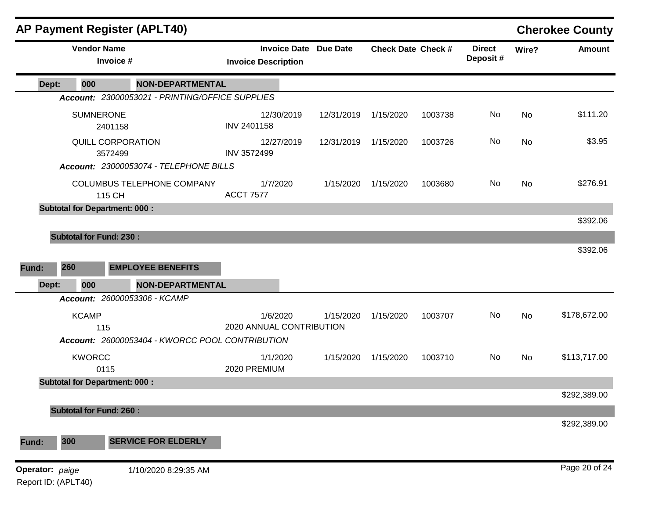|                 | <b>AP Payment Register (APLT40)</b>  |                              |                                                 |                                      |            |                              |                           |         |                           |       | <b>Cherokee County</b> |
|-----------------|--------------------------------------|------------------------------|-------------------------------------------------|--------------------------------------|------------|------------------------------|---------------------------|---------|---------------------------|-------|------------------------|
|                 | <b>Vendor Name</b>                   | Invoice #                    |                                                 | <b>Invoice Description</b>           |            | <b>Invoice Date Due Date</b> | <b>Check Date Check #</b> |         | <b>Direct</b><br>Deposit# | Wire? | <b>Amount</b>          |
| Dept:           | 000                                  |                              | <b>NON-DEPARTMENTAL</b>                         |                                      |            |                              |                           |         |                           |       |                        |
|                 |                                      |                              | Account: 23000053021 - PRINTING/OFFICE SUPPLIES |                                      |            |                              |                           |         |                           |       |                        |
|                 | <b>SUMNERONE</b>                     | 2401158                      |                                                 | INV 2401158                          | 12/30/2019 | 12/31/2019                   | 1/15/2020                 | 1003738 | No                        | No    | \$111.20               |
|                 |                                      | QUILL CORPORATION<br>3572499 |                                                 | INV 3572499                          | 12/27/2019 | 12/31/2019                   | 1/15/2020                 | 1003726 | No                        | No    | \$3.95                 |
|                 |                                      |                              | Account: 23000053074 - TELEPHONE BILLS          |                                      |            |                              |                           |         |                           |       |                        |
|                 |                                      | 115 CH                       | COLUMBUS TELEPHONE COMPANY                      | 1/7/2020<br><b>ACCT 7577</b>         |            | 1/15/2020                    | 1/15/2020                 | 1003680 | No                        | No    | \$276.91               |
|                 | <b>Subtotal for Department: 000:</b> |                              |                                                 |                                      |            |                              |                           |         |                           |       |                        |
|                 |                                      |                              |                                                 |                                      |            |                              |                           |         |                           |       | \$392.06               |
|                 | <b>Subtotal for Fund: 230:</b>       |                              |                                                 |                                      |            |                              |                           |         |                           |       |                        |
|                 |                                      |                              |                                                 |                                      |            |                              |                           |         |                           |       | \$392.06               |
| Fund:           | 260                                  |                              | <b>EMPLOYEE BENEFITS</b>                        |                                      |            |                              |                           |         |                           |       |                        |
| Dept:           | 000                                  |                              | <b>NON-DEPARTMENTAL</b>                         |                                      |            |                              |                           |         |                           |       |                        |
|                 |                                      |                              | Account: 26000053306 - KCAMP                    |                                      |            |                              |                           |         |                           |       |                        |
|                 | <b>KCAMP</b>                         | 115                          |                                                 | 1/6/2020<br>2020 ANNUAL CONTRIBUTION |            | 1/15/2020                    | 1/15/2020                 | 1003707 | No                        | No    | \$178,672.00           |
|                 |                                      |                              | Account: 26000053404 - KWORCC POOL CONTRIBUTION |                                      |            |                              |                           |         |                           |       |                        |
|                 | <b>KWORCC</b>                        | 0115                         |                                                 | 1/1/2020<br>2020 PREMIUM             |            | 1/15/2020                    | 1/15/2020                 | 1003710 | No                        | No    | \$113,717.00           |
|                 | <b>Subtotal for Department: 000:</b> |                              |                                                 |                                      |            |                              |                           |         |                           |       |                        |
|                 |                                      |                              |                                                 |                                      |            |                              |                           |         |                           |       | \$292,389.00           |
|                 | <b>Subtotal for Fund: 260:</b>       |                              |                                                 |                                      |            |                              |                           |         |                           |       |                        |
|                 |                                      |                              |                                                 |                                      |            |                              |                           |         |                           |       | \$292,389.00           |
| Fund:           | 300                                  |                              | <b>SERVICE FOR ELDERLY</b>                      |                                      |            |                              |                           |         |                           |       |                        |
| Operator: paige | Report ID: (APLT40)                  |                              | 1/10/2020 8:29:35 AM                            |                                      |            |                              |                           |         |                           |       | Page 20 of 24          |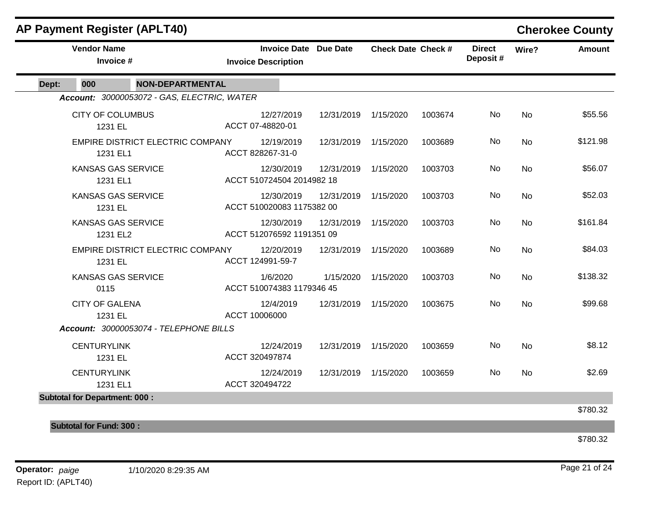|       |                                       | <b>AP Payment Register (APLT40)</b>         |                                                            |                      |                           |         |                           |           | <b>Cherokee County</b> |
|-------|---------------------------------------|---------------------------------------------|------------------------------------------------------------|----------------------|---------------------------|---------|---------------------------|-----------|------------------------|
|       | <b>Vendor Name</b><br>Invoice #       |                                             | <b>Invoice Date Due Date</b><br><b>Invoice Description</b> |                      | <b>Check Date Check #</b> |         | <b>Direct</b><br>Deposit# | Wire?     | <b>Amount</b>          |
| Dept: | 000                                   | <b>NON-DEPARTMENTAL</b>                     |                                                            |                      |                           |         |                           |           |                        |
|       |                                       | Account: 30000053072 - GAS, ELECTRIC, WATER |                                                            |                      |                           |         |                           |           |                        |
|       | <b>CITY OF COLUMBUS</b><br>1231 EL    |                                             | 12/27/2019<br>ACCT 07-48820-01                             | 12/31/2019           | 1/15/2020                 | 1003674 | No                        | <b>No</b> | \$55.56                |
|       | 1231 EL1                              | EMPIRE DISTRICT ELECTRIC COMPANY            | 12/19/2019<br>ACCT 828267-31-0                             | 12/31/2019 1/15/2020 |                           | 1003689 | No                        | No        | \$121.98               |
|       | <b>KANSAS GAS SERVICE</b><br>1231 EL1 |                                             | 12/30/2019<br>ACCT 510724504 2014982 18                    | 12/31/2019           | 1/15/2020                 | 1003703 | <b>No</b>                 | <b>No</b> | \$56.07                |
|       | <b>KANSAS GAS SERVICE</b><br>1231 EL  |                                             | 12/30/2019<br>ACCT 510020083 1175382 00                    | 12/31/2019           | 1/15/2020                 | 1003703 | <b>No</b>                 | <b>No</b> | \$52.03                |
|       | <b>KANSAS GAS SERVICE</b><br>1231 EL2 |                                             | 12/30/2019<br>ACCT 512076592 1191351 09                    | 12/31/2019           | 1/15/2020                 | 1003703 | No                        | <b>No</b> | \$161.84               |
|       | 1231 EL                               | EMPIRE DISTRICT ELECTRIC COMPANY            | 12/20/2019<br>ACCT 124991-59-7                             | 12/31/2019           | 1/15/2020                 | 1003689 | <b>No</b>                 | <b>No</b> | \$84.03                |
|       | <b>KANSAS GAS SERVICE</b><br>0115     |                                             | 1/6/2020<br>ACCT 510074383 1179346 45                      | 1/15/2020            | 1/15/2020                 | 1003703 | No                        | <b>No</b> | \$138.32               |
|       | <b>CITY OF GALENA</b><br>1231 EL      |                                             | 12/4/2019<br>ACCT 10006000                                 | 12/31/2019           | 1/15/2020                 | 1003675 | <b>No</b>                 | No        | \$99.68                |
|       |                                       | Account: 30000053074 - TELEPHONE BILLS      |                                                            |                      |                           |         |                           |           |                        |
|       | <b>CENTURYLINK</b><br>1231 EL         |                                             | 12/24/2019<br>ACCT 320497874                               | 12/31/2019 1/15/2020 |                           | 1003659 | No.                       | <b>No</b> | \$8.12                 |
|       | <b>CENTURYLINK</b><br>1231 EL1        |                                             | 12/24/2019<br>ACCT 320494722                               | 12/31/2019 1/15/2020 |                           | 1003659 | <b>No</b>                 | <b>No</b> | \$2.69                 |
|       | <b>Subtotal for Department: 000:</b>  |                                             |                                                            |                      |                           |         |                           |           |                        |
|       |                                       |                                             |                                                            |                      |                           |         |                           |           | \$780.32               |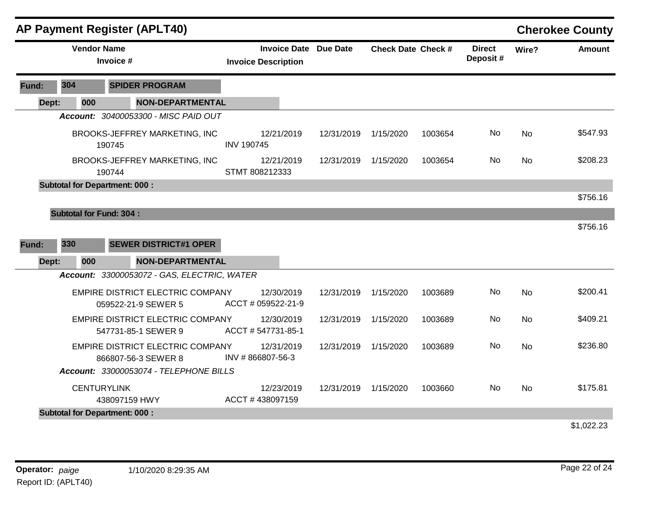|       |                                | <b>AP Payment Register (APLT40)</b>                            |                                  |                       |                           |         |                           |           | <b>Cherokee County</b> |
|-------|--------------------------------|----------------------------------------------------------------|----------------------------------|-----------------------|---------------------------|---------|---------------------------|-----------|------------------------|
|       | <b>Vendor Name</b>             | Invoice #                                                      | <b>Invoice Description</b>       | Invoice Date Due Date | <b>Check Date Check #</b> |         | <b>Direct</b><br>Deposit# | Wire?     | <b>Amount</b>          |
| Fund: | 304                            | <b>SPIDER PROGRAM</b>                                          |                                  |                       |                           |         |                           |           |                        |
| Dept: | 000                            | <b>NON-DEPARTMENTAL</b>                                        |                                  |                       |                           |         |                           |           |                        |
|       |                                | Account: 30400053300 - MISC PAID OUT                           |                                  |                       |                           |         |                           |           |                        |
|       |                                | BROOKS-JEFFREY MARKETING, INC<br>190745                        | 12/21/2019<br><b>INV 190745</b>  | 12/31/2019            | 1/15/2020                 | 1003654 | No                        | <b>No</b> | \$547.93               |
|       |                                | BROOKS-JEFFREY MARKETING, INC<br>190744                        | 12/21/2019<br>STMT 808212333     |                       | 12/31/2019 1/15/2020      | 1003654 | No.                       | <b>No</b> | \$208.23               |
|       |                                | <b>Subtotal for Department: 000:</b>                           |                                  |                       |                           |         |                           |           |                        |
|       |                                |                                                                |                                  |                       |                           |         |                           |           | \$756.16               |
|       | <b>Subtotal for Fund: 304:</b> |                                                                |                                  |                       |                           |         |                           |           |                        |
| Fund: | 330                            | <b>SEWER DISTRICT#1 OPER</b>                                   |                                  |                       |                           |         |                           |           | \$756.16               |
| Dept: | 000                            | <b>NON-DEPARTMENTAL</b>                                        |                                  |                       |                           |         |                           |           |                        |
|       |                                | Account: 33000053072 - GAS, ELECTRIC, WATER                    |                                  |                       |                           |         |                           |           |                        |
|       |                                | EMPIRE DISTRICT ELECTRIC COMPANY<br>059522-21-9 SEWER 5        | 12/30/2019<br>ACCT # 059522-21-9 | 12/31/2019            | 1/15/2020                 | 1003689 | No                        | No        | \$200.41               |
|       |                                | <b>EMPIRE DISTRICT ELECTRIC COMPANY</b><br>547731-85-1 SEWER 9 | 12/30/2019<br>ACCT # 547731-85-1 | 12/31/2019            | 1/15/2020                 | 1003689 | No                        | <b>No</b> | \$409.21               |
|       |                                | <b>EMPIRE DISTRICT ELECTRIC COMPANY</b><br>866807-56-3 SEWER 8 | 12/31/2019<br>INV #866807-56-3   | 12/31/2019            | 1/15/2020                 | 1003689 | No.                       | <b>No</b> | \$236.80               |
|       |                                | Account: 33000053074 - TELEPHONE BILLS                         |                                  |                       |                           |         |                           |           |                        |
|       |                                | <b>CENTURYLINK</b><br>438097159 HWY                            | 12/23/2019<br>ACCT #438097159    |                       | 12/31/2019 1/15/2020      | 1003660 | No.                       | <b>No</b> | \$175.81               |
|       |                                | <b>Subtotal for Department: 000:</b>                           |                                  |                       |                           |         |                           |           |                        |
|       |                                |                                                                |                                  |                       |                           |         |                           |           | \$1,022.23             |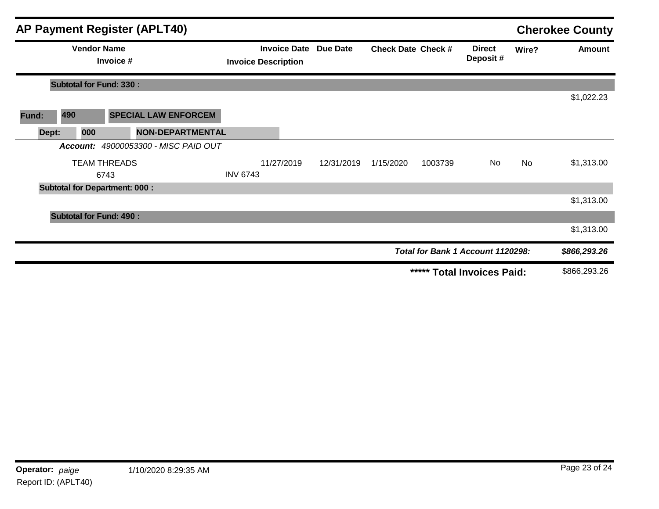|       |                                      |                                 | <b>AP Payment Register (APLT40)</b>  |                            |            |                              |                           |         |                                   |       | <b>Cherokee County</b> |
|-------|--------------------------------------|---------------------------------|--------------------------------------|----------------------------|------------|------------------------------|---------------------------|---------|-----------------------------------|-------|------------------------|
|       |                                      | <b>Vendor Name</b><br>Invoice # |                                      | <b>Invoice Description</b> |            | <b>Invoice Date Due Date</b> | <b>Check Date Check #</b> |         | <b>Direct</b><br>Deposit#         | Wire? | Amount                 |
|       | <b>Subtotal for Fund: 330:</b>       |                                 |                                      |                            |            |                              |                           |         |                                   |       |                        |
|       |                                      |                                 |                                      |                            |            |                              |                           |         |                                   |       | \$1,022.23             |
| Fund: | 490                                  |                                 | <b>SPECIAL LAW ENFORCEM</b>          |                            |            |                              |                           |         |                                   |       |                        |
| Dept: | 000                                  |                                 | <b>NON-DEPARTMENTAL</b>              |                            |            |                              |                           |         |                                   |       |                        |
|       |                                      |                                 | Account: 49000053300 - MISC PAID OUT |                            |            |                              |                           |         |                                   |       |                        |
|       |                                      | <b>TEAM THREADS</b>             |                                      |                            | 11/27/2019 | 12/31/2019                   | 1/15/2020                 | 1003739 | No                                | No    | \$1,313.00             |
|       |                                      | 6743                            |                                      | <b>INV 6743</b>            |            |                              |                           |         |                                   |       |                        |
|       | <b>Subtotal for Department: 000:</b> |                                 |                                      |                            |            |                              |                           |         |                                   |       |                        |
|       |                                      |                                 |                                      |                            |            |                              |                           |         |                                   |       | \$1,313.00             |
|       | <b>Subtotal for Fund: 490:</b>       |                                 |                                      |                            |            |                              |                           |         |                                   |       |                        |
|       |                                      |                                 |                                      |                            |            |                              |                           |         |                                   |       | \$1,313.00             |
|       |                                      |                                 |                                      |                            |            |                              |                           |         | Total for Bank 1 Account 1120298: |       | \$866,293.26           |
|       |                                      |                                 |                                      |                            |            |                              |                           |         | ***** Total Invoices Paid:        |       | \$866,293.26           |